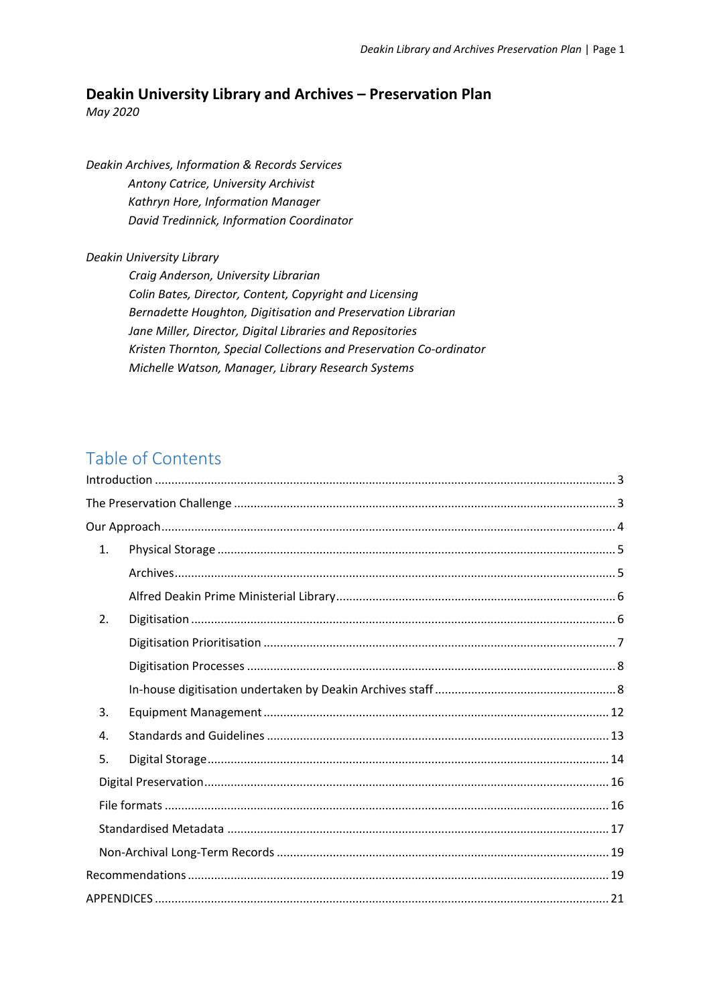# **Deakin University Library and Archives – Preservation Plan**

*May 2020*

*Deakin Archives, Information & Records Services Antony Catrice, University Archivist Kathryn Hore, Information Manager David Tredinnick, Information Coordinator*

### *Deakin University Library*

*Craig Anderson, University Librarian Colin Bates, Director, Content, Copyright and Licensing Bernadette Houghton, Digitisation and Preservation Librarian Jane Miller, Director, Digital Libraries and Repositories Kristen Thornton, Special Collections and Preservation Co-ordinator Michelle Watson, Manager, Library Research Systems* 

# Table of Contents

| 1. |  |
|----|--|
|    |  |
|    |  |
| 2. |  |
|    |  |
|    |  |
|    |  |
| 3. |  |
| 4. |  |
| 5. |  |
|    |  |
|    |  |
|    |  |
|    |  |
|    |  |
|    |  |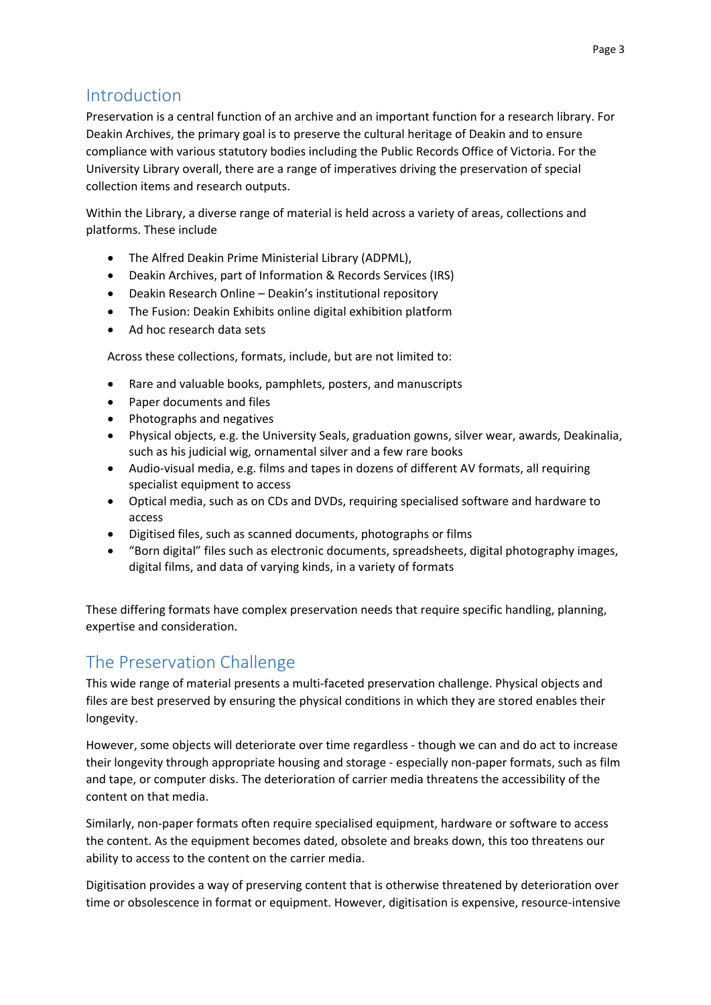# <span id="page-2-0"></span>Introduction

Preservation is a central function of an archive and an important function for a research library. For Deakin Archives, the primary goal is to preserve the cultural heritage of Deakin and to ensure compliance with various statutory bodies including the Public Records Office of Victoria. For the University Library overall, there are a range of imperatives driving the preservation of special collection items and research outputs.

Within the Library, a diverse range of material is held across a variety of areas, collections and platforms. These include

- The Alfred Deakin Prime Ministerial Library (ADPML),
- Deakin Archives, part of Information & Records Services (IRS)
- Deakin Research Online Deakin's institutional repository
- The Fusion: Deakin Exhibits online digital exhibition platform
- Ad hoc research data sets

Across these collections, formats, include, but are not limited to:

- Rare and valuable books, pamphlets, posters, and manuscripts
- Paper documents and files
- Photographs and negatives
- Physical objects, e.g. the University Seals, graduation gowns, silver wear, awards, Deakinalia, such as his judicial wig, ornamental silver and a few rare books
- Audio-visual media, e.g. films and tapes in dozens of different AV formats, all requiring specialist equipment to access
- Optical media, such as on CDs and DVDs, requiring specialised software and hardware to access
- Digitised files, such as scanned documents, photographs or films
- "Born digital" files such as electronic documents, spreadsheets, digital photography images, digital films, and data of varying kinds, in a variety of formats

These differing formats have complex preservation needs that require specific handling, planning, expertise and consideration.

# <span id="page-2-1"></span>The Preservation Challenge

This wide range of material presents a multi-faceted preservation challenge. Physical objects and files are best preserved by ensuring the physical conditions in which they are stored enables their longevity.

However, some objects will deteriorate over time regardless - though we can and do act to increase their longevity through appropriate housing and storage - especially non-paper formats, such as film and tape, or computer disks. The deterioration of carrier media threatens the accessibility of the content on that media.

Similarly, non-paper formats often require specialised equipment, hardware or software to access the content. As the equipment becomes dated, obsolete and breaks down, this too threatens our ability to access to the content on the carrier media.

Digitisation provides a way of preserving content that is otherwise threatened by deterioration over time or obsolescence in format or equipment. However, digitisation is expensive, resource-intensive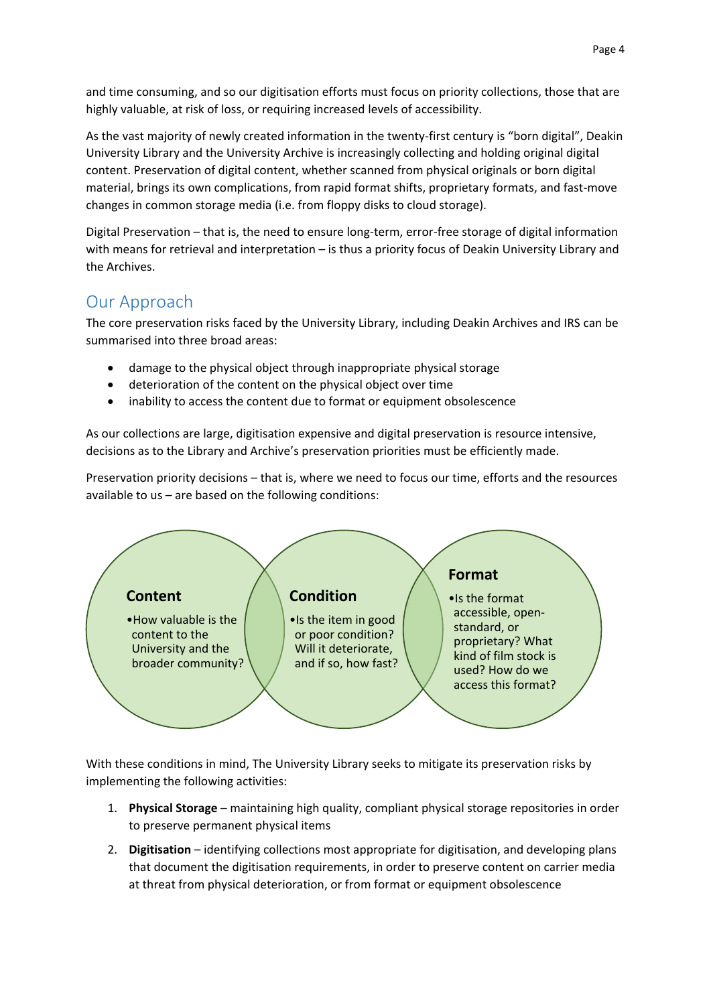and time consuming, and so our digitisation efforts must focus on priority collections, those that are highly valuable, at risk of loss, or requiring increased levels of accessibility.

As the vast majority of newly created information in the twenty-first century is "born digital", Deakin University Library and the University Archive is increasingly collecting and holding original digital content. Preservation of digital content, whether scanned from physical originals or born digital material, brings its own complications, from rapid format shifts, proprietary formats, and fast-move changes in common storage media (i.e. from floppy disks to cloud storage).

Digital Preservation – that is, the need to ensure long-term, error-free storage of digital information with means for retrieval and interpretation – is thus a priority focus of Deakin University Library and the Archives.

# <span id="page-3-0"></span>Our Approach

The core preservation risks faced by the University Library, including Deakin Archives and IRS can be summarised into three broad areas:

- damage to the physical object through inappropriate physical storage
- deterioration of the content on the physical object over time
- inability to access the content due to format or equipment obsolescence

As our collections are large, digitisation expensive and digital preservation is resource intensive, decisions as to the Library and Archive's preservation priorities must be efficiently made.

Preservation priority decisions – that is, where we need to focus our time, efforts and the resources available to us – are based on the following conditions:



With these conditions in mind, The University Library seeks to mitigate its preservation risks by implementing the following activities:

- 1. **Physical Storage** maintaining high quality, compliant physical storage repositories in order to preserve permanent physical items
- 2. **Digitisation**  identifying collections most appropriate for digitisation, and developing plans that document the digitisation requirements, in order to preserve content on carrier media at threat from physical deterioration, or from format or equipment obsolescence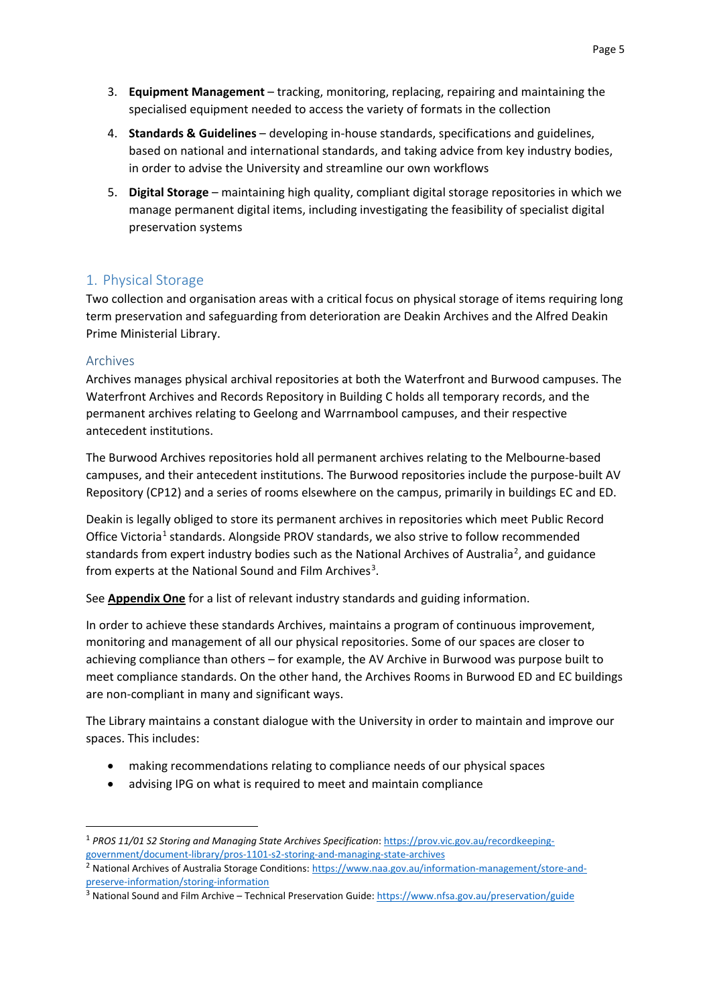- 3. **Equipment Management** tracking, monitoring, replacing, repairing and maintaining the specialised equipment needed to access the variety of formats in the collection
- 4. **Standards & Guidelines** developing in-house standards, specifications and guidelines, based on national and international standards, and taking advice from key industry bodies, in order to advise the University and streamline our own workflows
- 5. **Digital Storage** maintaining high quality, compliant digital storage repositories in which we manage permanent digital items, including investigating the feasibility of specialist digital preservation systems

# <span id="page-4-0"></span>1. Physical Storage

Two collection and organisation areas with a critical focus on physical storage of items requiring long term preservation and safeguarding from deterioration are Deakin Archives and the Alfred Deakin Prime Ministerial Library.

### <span id="page-4-1"></span>Archives

Archives manages physical archival repositories at both the Waterfront and Burwood campuses. The Waterfront Archives and Records Repository in Building C holds all temporary records, and the permanent archives relating to Geelong and Warrnambool campuses, and their respective antecedent institutions.

The Burwood Archives repositories hold all permanent archives relating to the Melbourne-based campuses, and their antecedent institutions. The Burwood repositories include the purpose-built AV Repository (CP12) and a series of rooms elsewhere on the campus, primarily in buildings EC and ED.

Deakin is legally obliged to store its permanent archives in repositories which meet Public Record Office Victoria<sup>[1](#page-4-2)</sup> standards. Alongside PROV standards, we also strive to follow recommended standards from expert industry bodies such as the National Archives of Australia<sup>[2](#page-4-3)</sup>, and guidance from experts at the National Sound and Film Archives<sup>[3](#page-4-4)</sup>.

See **Appendix One** for a list of relevant industry standards and guiding information.

In order to achieve these standards Archives, maintains a program of continuous improvement, monitoring and management of all our physical repositories. Some of our spaces are closer to achieving compliance than others – for example, the AV Archive in Burwood was purpose built to meet compliance standards. On the other hand, the Archives Rooms in Burwood ED and EC buildings are non-compliant in many and significant ways.

The Library maintains a constant dialogue with the University in order to maintain and improve our spaces. This includes:

- making recommendations relating to compliance needs of our physical spaces
- advising IPG on what is required to meet and maintain compliance

<span id="page-4-2"></span> <sup>1</sup> *PROS 11/01 S2 Storing and Managing State Archives Specification*[: https://prov.vic.gov.au/recordkeeping](https://prov.vic.gov.au/recordkeeping-government/document-library/pros-1101-s2-storing-and-managing-state-archives)[government/document-library/pros-1101-s2-storing-and-managing-state-archives](https://prov.vic.gov.au/recordkeeping-government/document-library/pros-1101-s2-storing-and-managing-state-archives)

<span id="page-4-3"></span><sup>&</sup>lt;sup>2</sup> National Archives of Australia Storage Conditions: [https://www.naa.gov.au/information-management/store-and](https://www.naa.gov.au/information-management/store-and-preserve-information/storing-information)[preserve-information/storing-information](https://www.naa.gov.au/information-management/store-and-preserve-information/storing-information)

<span id="page-4-4"></span><sup>&</sup>lt;sup>3</sup> National Sound and Film Archive – Technical Preservation Guide[: https://www.nfsa.gov.au/preservation/guide](https://www.nfsa.gov.au/preservation/guide)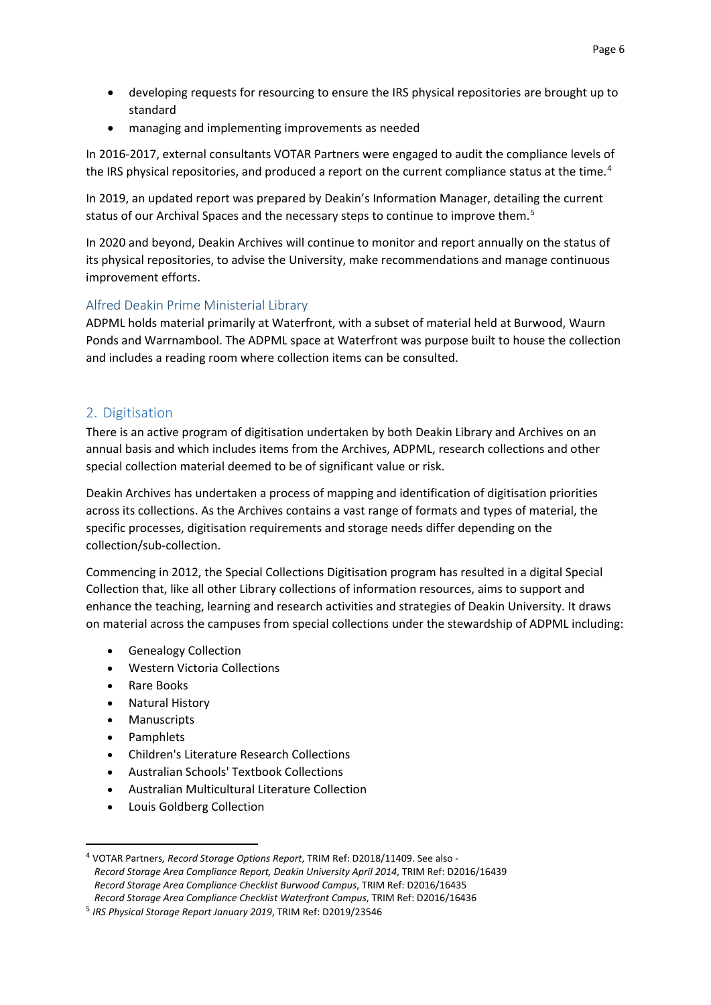- developing requests for resourcing to ensure the IRS physical repositories are brought up to standard
- managing and implementing improvements as needed

In 2016-2017, external consultants VOTAR Partners were engaged to audit the compliance levels of the IRS physical repositories, and produced a report on the current compliance status at the time.<sup>[4](#page-5-2)</sup>

In 2019, an updated report was prepared by Deakin's Information Manager, detailing the current status of our Archival Spaces and the necessary steps to continue to improve them.<sup>[5](#page-5-3)</sup>

In 2020 and beyond, Deakin Archives will continue to monitor and report annually on the status of its physical repositories, to advise the University, make recommendations and manage continuous improvement efforts.

## <span id="page-5-0"></span>Alfred Deakin Prime Ministerial Library

ADPML holds material primarily at Waterfront, with a subset of material held at Burwood, Waurn Ponds and Warrnambool. The ADPML space at Waterfront was purpose built to house the collection and includes a reading room where collection items can be consulted.

## <span id="page-5-1"></span>2. Digitisation

There is an active program of digitisation undertaken by both Deakin Library and Archives on an annual basis and which includes items from the Archives, ADPML, research collections and other special collection material deemed to be of significant value or risk.

Deakin Archives has undertaken a process of mapping and identification of digitisation priorities across its collections. As the Archives contains a vast range of formats and types of material, the specific processes, digitisation requirements and storage needs differ depending on the collection/sub-collection.

Commencing in 2012, the Special Collections Digitisation program has resulted in a digital Special Collection that, like all other Library collections of information resources, aims to support and enhance the teaching, learning and research activities and strategies of Deakin University. It draws on material across the campuses from special collections under the stewardship of ADPML including:

- Genealogy Collection
- Western Victoria Collections
- Rare Books
- Natural History
- Manuscripts
- Pamphlets
- Children's Literature Research Collections
- Australian Schools' Textbook Collections
- Australian Multicultural Literature Collection
- Louis Goldberg Collection

<span id="page-5-2"></span> <sup>4</sup> VOTAR Partners*, Record Storage Options Report*, TRIM Ref: D2018/11409. See also - *Record Storage Area Compliance Report, Deakin University April 2014*, TRIM Ref: D2016/16439 *Record Storage Area Compliance Checklist Burwood Campus*, TRIM Ref: D2016/16435 *Record Storage Area Compliance Checklist Waterfront Campus*, TRIM Ref: D2016/16436

<span id="page-5-3"></span><sup>5</sup> *IRS Physical Storage Report January 2019*, TRIM Ref: D2019/23546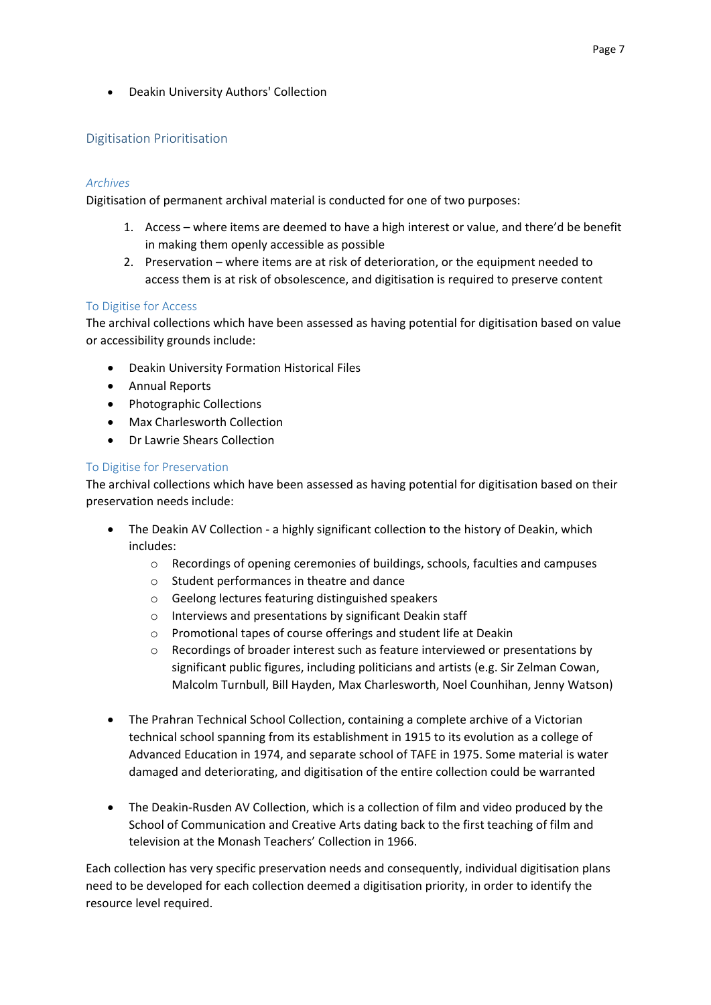• Deakin University Authors' Collection

## <span id="page-6-0"></span>Digitisation Prioritisation

### *Archives*

Digitisation of permanent archival material is conducted for one of two purposes:

- 1. Access where items are deemed to have a high interest or value, and there'd be benefit in making them openly accessible as possible
- 2. Preservation where items are at risk of deterioration, or the equipment needed to access them is at risk of obsolescence, and digitisation is required to preserve content

### To Digitise for Access

The archival collections which have been assessed as having potential for digitisation based on value or accessibility grounds include:

- Deakin University Formation Historical Files
- Annual Reports
- Photographic Collections
- Max Charlesworth Collection
- Dr Lawrie Shears Collection

### To Digitise for Preservation

The archival collections which have been assessed as having potential for digitisation based on their preservation needs include:

- The Deakin AV Collection a highly significant collection to the history of Deakin, which includes:
	- o Recordings of opening ceremonies of buildings, schools, faculties and campuses
	- o Student performances in theatre and dance
	- o Geelong lectures featuring distinguished speakers
	- o Interviews and presentations by significant Deakin staff
	- o Promotional tapes of course offerings and student life at Deakin
	- o Recordings of broader interest such as feature interviewed or presentations by significant public figures, including politicians and artists (e.g. Sir Zelman Cowan, Malcolm Turnbull, Bill Hayden, Max Charlesworth, Noel Counhihan, Jenny Watson)
- The Prahran Technical School Collection, containing a complete archive of a Victorian technical school spanning from its establishment in 1915 to its evolution as a college of Advanced Education in 1974, and separate school of TAFE in 1975. Some material is water damaged and deteriorating, and digitisation of the entire collection could be warranted
- The Deakin-Rusden AV Collection, which is a collection of film and video produced by the School of Communication and Creative Arts dating back to the first teaching of film and television at the Monash Teachers' Collection in 1966.

Each collection has very specific preservation needs and consequently, individual digitisation plans need to be developed for each collection deemed a digitisation priority, in order to identify the resource level required.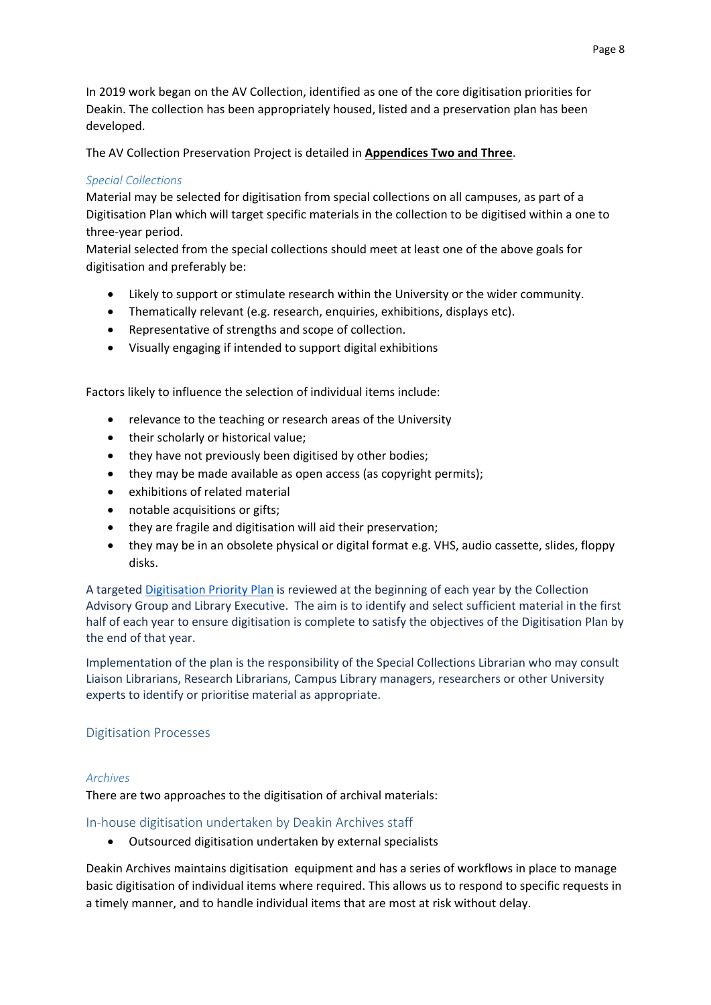In 2019 work began on the AV Collection, identified as one of the core digitisation priorities for Deakin. The collection has been appropriately housed, listed and a preservation plan has been developed.

The AV Collection Preservation Project is detailed in **Appendices Two and Three**.

### *Special Collections*

Material may be selected for digitisation from special collections on all campuses, as part of a Digitisation Plan which will target specific materials in the collection to be digitised within a one to three-year period.

Material selected from the special collections should meet at least one of the above goals for digitisation and preferably be:

- Likely to support or stimulate research within the University or the wider community.
- Thematically relevant (e.g. research, enquiries, exhibitions, displays etc).
- Representative of strengths and scope of collection.
- Visually engaging if intended to support digital exhibitions

Factors likely to influence the selection of individual items include:

- relevance to the teaching or research areas of the University
- their scholarly or historical value;
- they have not previously been digitised by other bodies;
- they may be made available as open access (as copyright permits);
- exhibitions of related material
- notable acquisitions or gifts;
- they are fragile and digitisation will aid their preservation;
- they may be in an obsolete physical or digital format e.g. VHS, audio cassette, slides, floppy disks.

A targeted [Digitisation Priority Plan](https://wiki.deakin.edu.au/display/specialcollectionsandADPML/Digitisation+Priority+Plans) is reviewed at the beginning of each year by the Collection Advisory Group and Library Executive. The aim is to identify and select sufficient material in the first half of each year to ensure digitisation is complete to satisfy the objectives of the Digitisation Plan by the end of that year.

Implementation of the plan is the responsibility of the Special Collections Librarian who may consult Liaison Librarians, Research Librarians, Campus Library managers, researchers or other University experts to identify or prioritise material as appropriate.

## <span id="page-7-0"></span>Digitisation Processes

### *Archives*

There are two approaches to the digitisation of archival materials:

## <span id="page-7-1"></span>In-house digitisation undertaken by Deakin Archives staff

• Outsourced digitisation undertaken by external specialists

Deakin Archives maintains digitisation equipment and has a series of workflows in place to manage basic digitisation of individual items where required. This allows us to respond to specific requests in a timely manner, and to handle individual items that are most at risk without delay.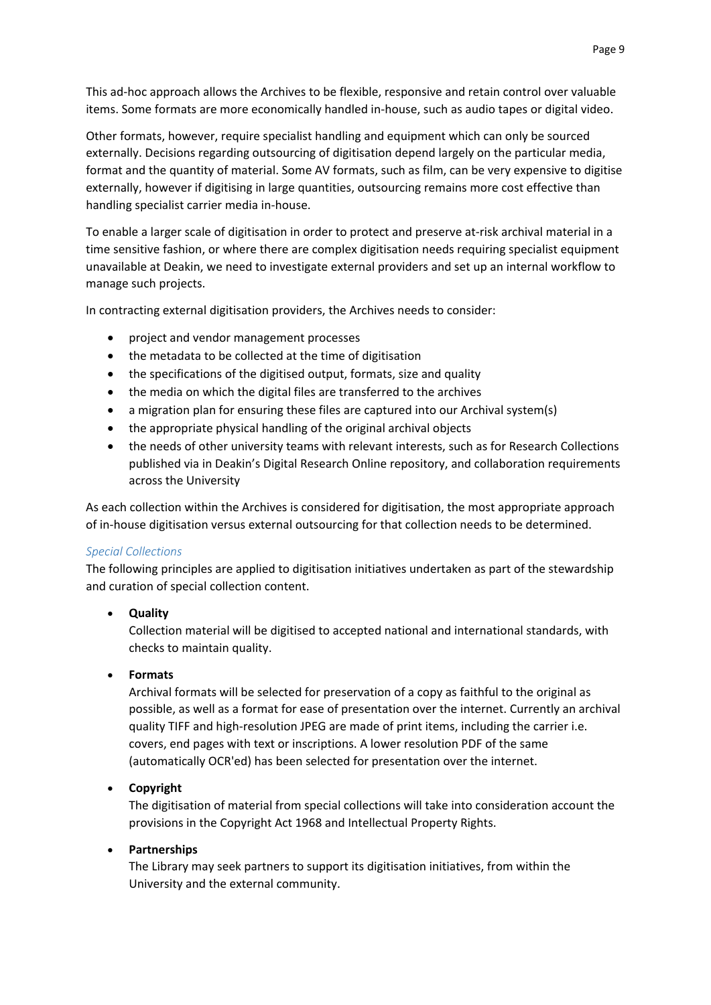This ad-hoc approach allows the Archives to be flexible, responsive and retain control over valuable items. Some formats are more economically handled in-house, such as audio tapes or digital video.

Other formats, however, require specialist handling and equipment which can only be sourced externally. Decisions regarding outsourcing of digitisation depend largely on the particular media, format and the quantity of material. Some AV formats, such as film, can be very expensive to digitise externally, however if digitising in large quantities, outsourcing remains more cost effective than handling specialist carrier media in-house.

To enable a larger scale of digitisation in order to protect and preserve at-risk archival material in a time sensitive fashion, or where there are complex digitisation needs requiring specialist equipment unavailable at Deakin, we need to investigate external providers and set up an internal workflow to manage such projects.

In contracting external digitisation providers, the Archives needs to consider:

- project and vendor management processes
- the metadata to be collected at the time of digitisation
- the specifications of the digitised output, formats, size and quality
- the media on which the digital files are transferred to the archives
- a migration plan for ensuring these files are captured into our Archival system(s)
- the appropriate physical handling of the original archival objects
- the needs of other university teams with relevant interests, such as for Research Collections published via in Deakin's Digital Research Online repository, and collaboration requirements across the University

As each collection within the Archives is considered for digitisation, the most appropriate approach of in-house digitisation versus external outsourcing for that collection needs to be determined.

### *Special Collections*

The following principles are applied to digitisation initiatives undertaken as part of the stewardship and curation of special collection content.

• **Quality**

Collection material will be digitised to accepted national and international standards, with checks to maintain quality.

## • **Formats**

Archival formats will be selected for preservation of a copy as faithful to the original as possible, as well as a format for ease of presentation over the internet. Currently an archival quality TIFF and high-resolution JPEG are made of print items, including the carrier i.e. covers, end pages with text or inscriptions. A lower resolution PDF of the same (automatically OCR'ed) has been selected for presentation over the internet.

## • **Copyright**

The digitisation of material from special collections will take into consideration account the provisions in the Copyright Act 1968 and Intellectual Property Rights.

## • **Partnerships**

The Library may seek partners to support its digitisation initiatives, from within the University and the external community.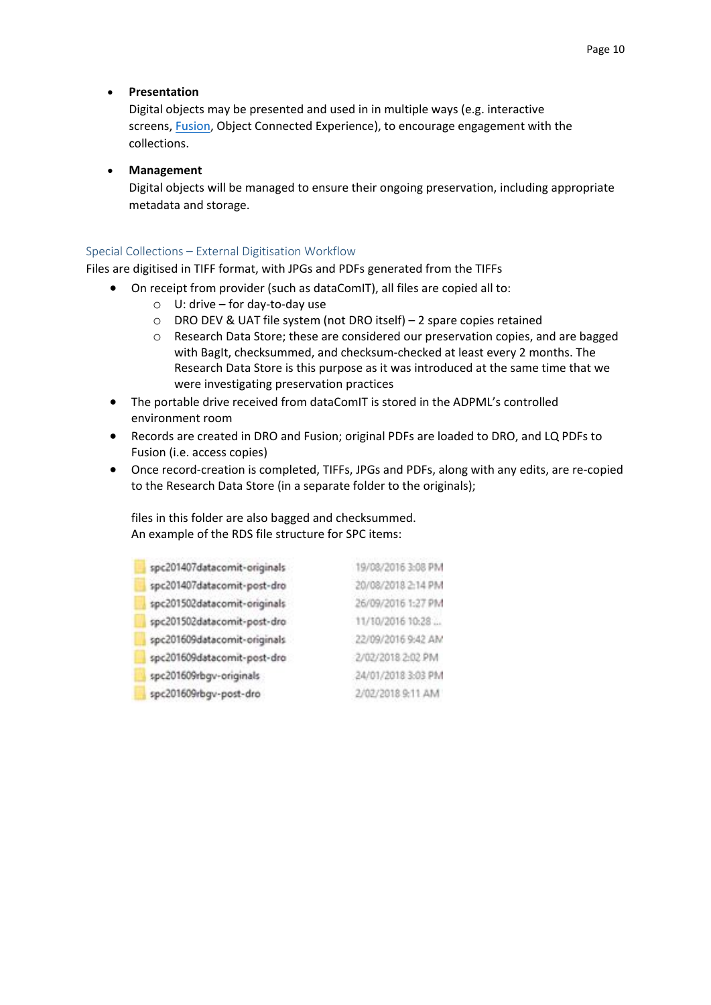### • **Presentation**

Digital objects may be presented and used in in multiple ways (e.g. interactive screens, [Fusion,](http://fusion.deakin.edu.au/) Object Connected Experience), to encourage engagement with the collections.

### • **Management**

Digital objects will be managed to ensure their ongoing preservation, including appropriate metadata and storage.

### Special Collections – External Digitisation Workflow

Files are digitised in TIFF format, with JPGs and PDFs generated from the TIFFs

- On receipt from provider (such as dataComIT), all files are copied all to:
	- $\circ$  U: drive for day-to-day use
	- o DRO DEV & UAT file system (not DRO itself) 2 spare copies retained
	- o Research Data Store; these are considered our preservation copies, and are bagged with BagIt, checksummed, and checksum-checked at least every 2 months. The Research Data Store is this purpose as it was introduced at the same time that we were investigating preservation practices
- The portable drive received from dataComIT is stored in the ADPML's controlled environment room
- Records are created in DRO and Fusion; original PDFs are loaded to DRO, and LQ PDFs to Fusion (i.e. access copies)
- Once record-creation is completed, TIFFs, JPGs and PDFs, along with any edits, are re-copied to the Research Data Store (in a separate folder to the originals);

files in this folder are also bagged and checksummed. An example of the RDS file structure for SPC items:

| spc201407datacomit-originals | 19/08/2016 3:08 PM |
|------------------------------|--------------------|
| spc201407datacomit-post-dro  | 20/08/2018 2:14 PM |
| spc201502datacomit-originals | 26/09/2016 1:27 PM |
| spc201502datacomit-post-dro  | 11/10/2016 10:28   |
| spc201609datacomit-originals | 22/09/2016 9:42 AM |
| spc201609datacomit-post-dro  | 2/02/2018 2:02 PM  |
| spc201609rbgv-originals      | 24/01/2018 3:03 PM |
| spc201609rbgv-post-dro       | 2/02/2018 9:11 AM  |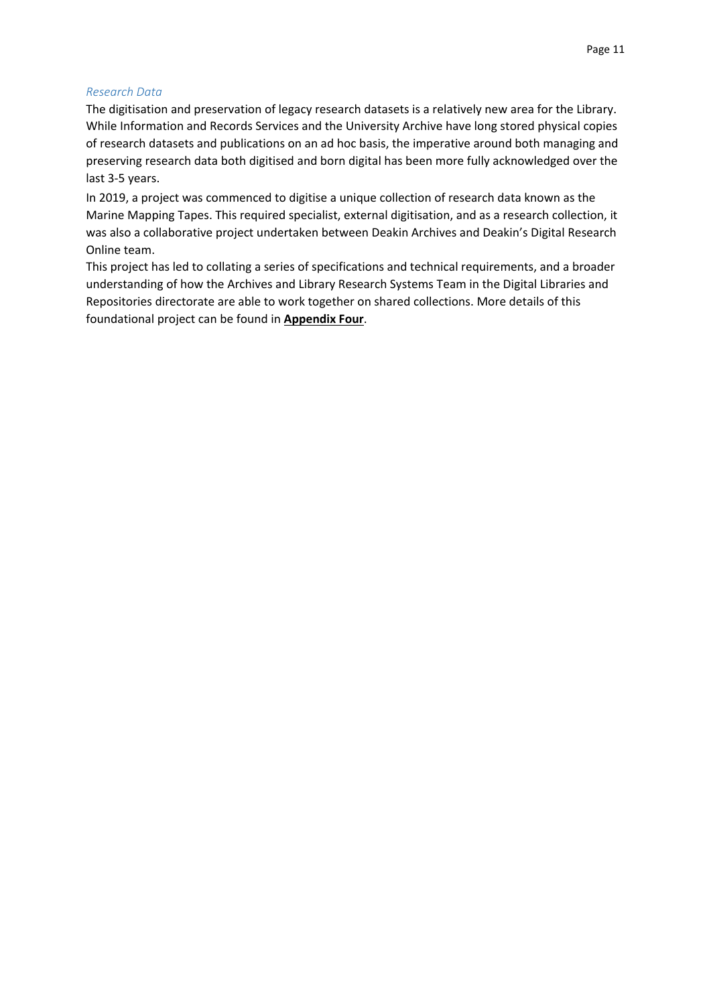#### *Research Data*

The digitisation and preservation of legacy research datasets is a relatively new area for the Library. While Information and Records Services and the University Archive have long stored physical copies of research datasets and publications on an ad hoc basis, the imperative around both managing and preserving research data both digitised and born digital has been more fully acknowledged over the last 3-5 years.

In 2019, a project was commenced to digitise a unique collection of research data known as the Marine Mapping Tapes. This required specialist, external digitisation, and as a research collection, it was also a collaborative project undertaken between Deakin Archives and Deakin's Digital Research Online team.

This project has led to collating a series of specifications and technical requirements, and a broader understanding of how the Archives and Library Research Systems Team in the Digital Libraries and Repositories directorate are able to work together on shared collections. More details of this foundational project can be found in **Appendix Four**.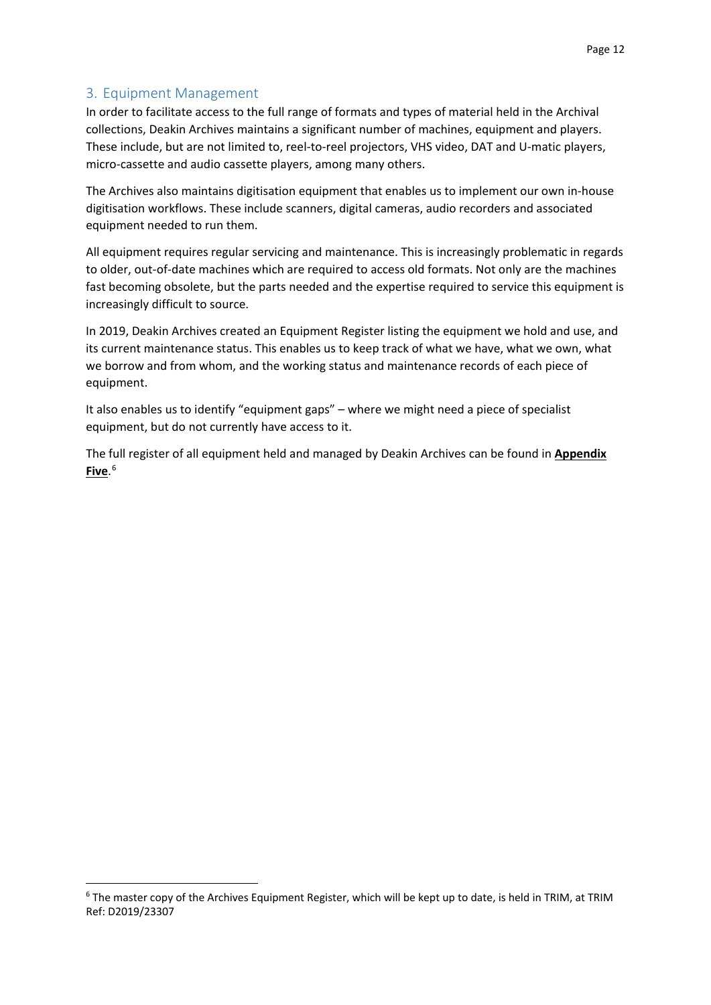# <span id="page-11-0"></span>3. Equipment Management

In order to facilitate access to the full range of formats and types of material held in the Archival collections, Deakin Archives maintains a significant number of machines, equipment and players. These include, but are not limited to, reel-to-reel projectors, VHS video, DAT and U-matic players, micro-cassette and audio cassette players, among many others.

The Archives also maintains digitisation equipment that enables us to implement our own in-house digitisation workflows. These include scanners, digital cameras, audio recorders and associated equipment needed to run them.

All equipment requires regular servicing and maintenance. This is increasingly problematic in regards to older, out-of-date machines which are required to access old formats. Not only are the machines fast becoming obsolete, but the parts needed and the expertise required to service this equipment is increasingly difficult to source.

In 2019, Deakin Archives created an Equipment Register listing the equipment we hold and use, and its current maintenance status. This enables us to keep track of what we have, what we own, what we borrow and from whom, and the working status and maintenance records of each piece of equipment.

It also enables us to identify "equipment gaps" – where we might need a piece of specialist equipment, but do not currently have access to it.

The full register of all equipment held and managed by Deakin Archives can be found in **Appendix Five**. [6](#page-11-1)

<span id="page-11-1"></span> <sup>6</sup> The master copy of the Archives Equipment Register, which will be kept up to date, is held in TRIM, at TRIM Ref: D2019/23307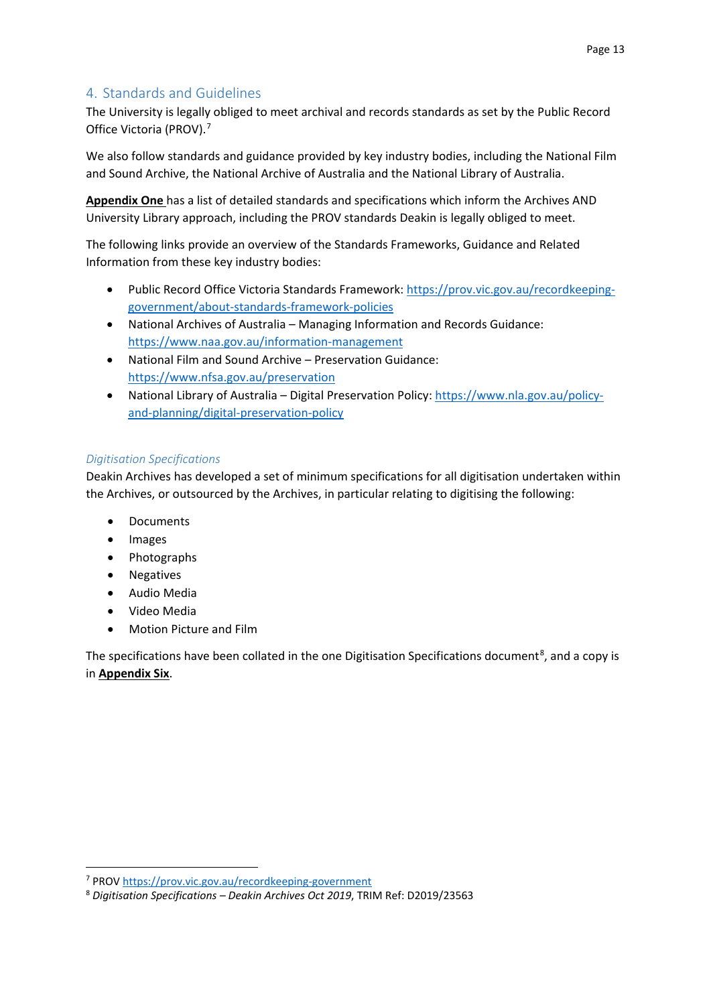# <span id="page-12-0"></span>4. Standards and Guidelines

The University is legally obliged to meet archival and records standards as set by the Public Record Office Victoria (PROV).<sup>[7](#page-12-1)</sup>

We also follow standards and guidance provided by key industry bodies, including the National Film and Sound Archive, the National Archive of Australia and the National Library of Australia.

**Appendix One** has a list of detailed standards and specifications which inform the Archives AND University Library approach, including the PROV standards Deakin is legally obliged to meet.

The following links provide an overview of the Standards Frameworks, Guidance and Related Information from these key industry bodies:

- Public Record Office Victoria Standards Framework[: https://prov.vic.gov.au/recordkeeping](https://prov.vic.gov.au/recordkeeping-government/about-standards-framework-policies)[government/about-standards-framework-policies](https://prov.vic.gov.au/recordkeeping-government/about-standards-framework-policies)
- National Archives of Australia Managing Information and Records Guidance: <https://www.naa.gov.au/information-management>
- National Film and Sound Archive Preservation Guidance: <https://www.nfsa.gov.au/preservation>
- National Library of Australia Digital Preservation Policy[: https://www.nla.gov.au/policy](https://www.nla.gov.au/policy-and-planning/digital-preservation-policy)[and-planning/digital-preservation-policy](https://www.nla.gov.au/policy-and-planning/digital-preservation-policy)

## *Digitisation Specifications*

Deakin Archives has developed a set of minimum specifications for all digitisation undertaken within the Archives, or outsourced by the Archives, in particular relating to digitising the following:

- Documents
- Images
- Photographs
- Negatives
- Audio Media
- Video Media
- Motion Picture and Film

The specifications have been collated in the one Digitisation Specifications document<sup>[8](#page-12-2)</sup>, and a copy is in **Appendix Six**.

<span id="page-12-1"></span> <sup>7</sup> PRO[V https://prov.vic.gov.au/recordkeeping-government](https://prov.vic.gov.au/recordkeeping-government)

<span id="page-12-2"></span><sup>8</sup> *Digitisation Specifications – Deakin Archives Oct 2019*, TRIM Ref: D2019/23563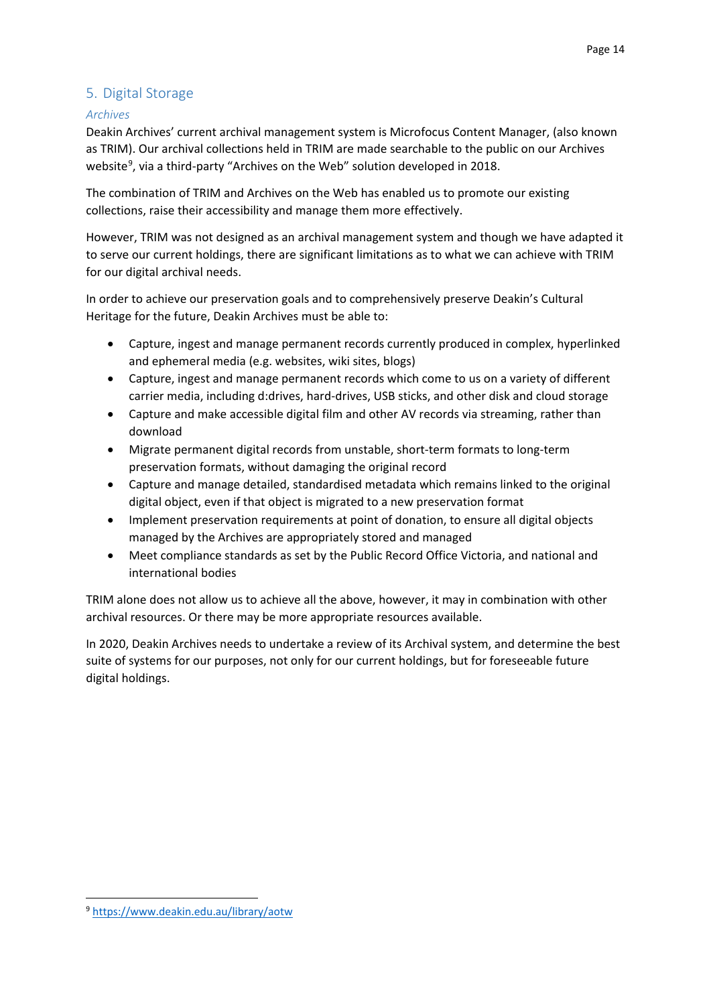# <span id="page-13-0"></span>5. Digital Storage

### *Archives*

Deakin Archives' current archival management system is Microfocus Content Manager, (also known as TRIM). Our archival collections held in TRIM are made searchable to the public on our Archives website<sup>[9](#page-13-1)</sup>, via a third-party "Archives on the Web" solution developed in 2018.

The combination of TRIM and Archives on the Web has enabled us to promote our existing collections, raise their accessibility and manage them more effectively.

However, TRIM was not designed as an archival management system and though we have adapted it to serve our current holdings, there are significant limitations as to what we can achieve with TRIM for our digital archival needs.

In order to achieve our preservation goals and to comprehensively preserve Deakin's Cultural Heritage for the future, Deakin Archives must be able to:

- Capture, ingest and manage permanent records currently produced in complex, hyperlinked and ephemeral media (e.g. websites, wiki sites, blogs)
- Capture, ingest and manage permanent records which come to us on a variety of different carrier media, including d:drives, hard-drives, USB sticks, and other disk and cloud storage
- Capture and make accessible digital film and other AV records via streaming, rather than download
- Migrate permanent digital records from unstable, short-term formats to long-term preservation formats, without damaging the original record
- Capture and manage detailed, standardised metadata which remains linked to the original digital object, even if that object is migrated to a new preservation format
- Implement preservation requirements at point of donation, to ensure all digital objects managed by the Archives are appropriately stored and managed
- Meet compliance standards as set by the Public Record Office Victoria, and national and international bodies

TRIM alone does not allow us to achieve all the above, however, it may in combination with other archival resources. Or there may be more appropriate resources available.

In 2020, Deakin Archives needs to undertake a review of its Archival system, and determine the best suite of systems for our purposes, not only for our current holdings, but for foreseeable future digital holdings.

<span id="page-13-1"></span> <sup>9</sup> <https://www.deakin.edu.au/library/aotw>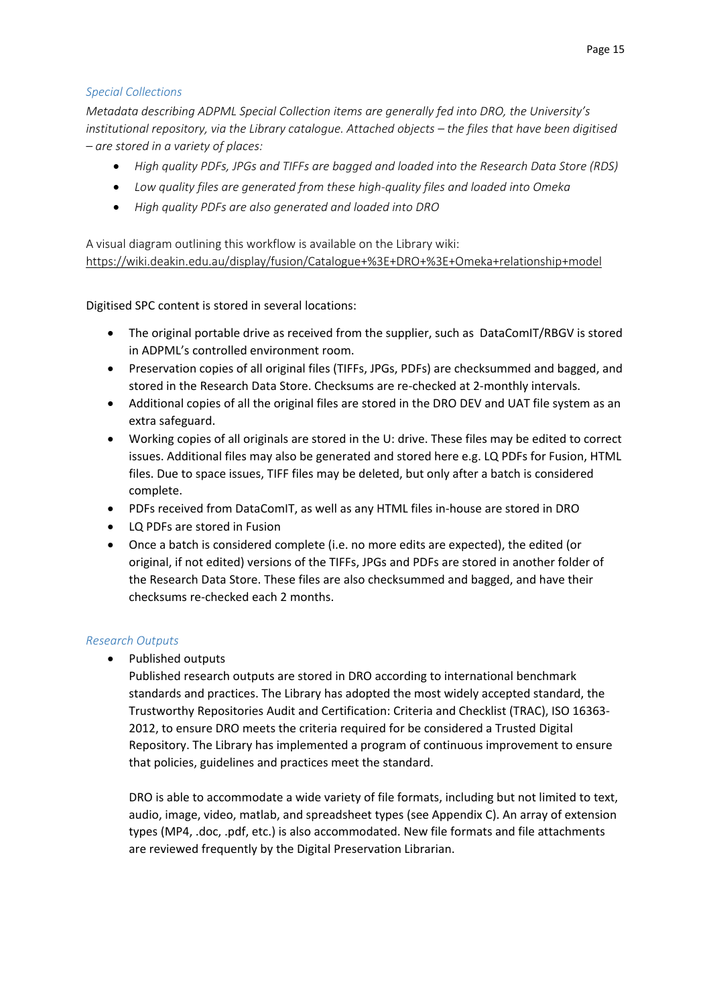### *Special Collections*

*Metadata describing ADPML Special Collection items are generally fed into DRO, the University's institutional repository, via the Library catalogue. Attached objects – the files that have been digitised – are stored in a variety of places:*

- *High quality PDFs, JPGs and TIFFs are bagged and loaded into the Research Data Store (RDS)*
- *Low quality files are generated from these high-quality files and loaded into Omeka*
- *High quality PDFs are also generated and loaded into DRO*

A visual diagram outlining this workflow is available on the Library wiki: <https://wiki.deakin.edu.au/display/fusion/Catalogue+%3E+DRO+%3E+Omeka+relationship+model>

Digitised SPC content is stored in several locations:

- The original portable drive as received from the supplier, such as DataComIT/RBGV is stored in ADPML's controlled environment room.
- Preservation copies of all original files (TIFFs, JPGs, PDFs) are checksummed and bagged, and stored in the Research Data Store. Checksums are re-checked at 2-monthly intervals.
- Additional copies of all the original files are stored in the DRO DEV and UAT file system as an extra safeguard.
- Working copies of all originals are stored in the U: drive. These files may be edited to correct issues. Additional files may also be generated and stored here e.g. LQ PDFs for Fusion, HTML files. Due to space issues, TIFF files may be deleted, but only after a batch is considered complete.
- PDFs received from DataComIT, as well as any HTML files in-house are stored in DRO
- LQ PDFs are stored in Fusion
- Once a batch is considered complete (i.e. no more edits are expected), the edited (or original, if not edited) versions of the TIFFs, JPGs and PDFs are stored in another folder of the Research Data Store. These files are also checksummed and bagged, and have their checksums re-checked each 2 months.

## *Research Outputs*

• Published outputs

Published research outputs are stored in DRO according to international benchmark standards and practices. The Library has adopted the most widely accepted standard, the Trustworthy Repositories Audit and Certification: Criteria and Checklist (TRAC), ISO 16363- 2012, to ensure DRO meets the criteria required for be considered a Trusted Digital Repository. The Library has implemented a program of continuous improvement to ensure that policies, guidelines and practices meet the standard.

DRO is able to accommodate a wide variety of file formats, including but not limited to text, audio, image, video, matlab, and spreadsheet types (see Appendix C). An array of extension types (MP4, .doc, .pdf, etc.) is also accommodated. New file formats and file attachments are reviewed frequently by the Digital Preservation Librarian.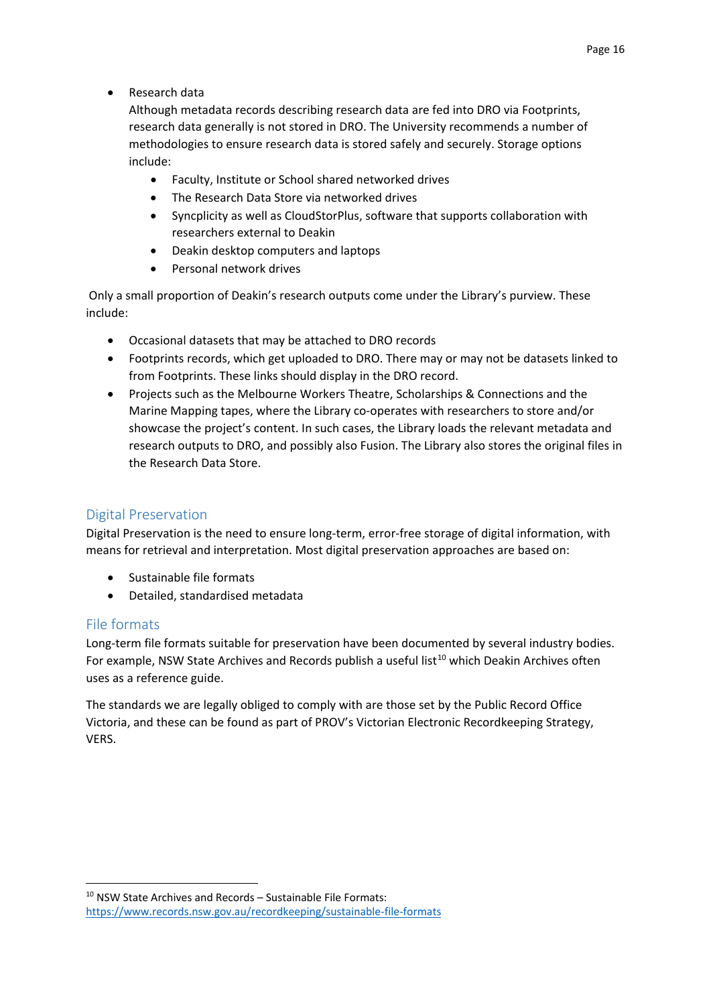• Research data

Although metadata records describing research data are fed into DRO via Footprints, research data generally is not stored in DRO. The University recommends a number of methodologies to ensure research data is stored safely and securely. Storage options include:

- Faculty, Institute or School shared networked drives
- The Research Data Store via networked drives
- Syncplicity as well as CloudStorPlus, software that supports collaboration with researchers external to Deakin
- Deakin desktop computers and laptops
- Personal network drives

Only a small proportion of Deakin's research outputs come under the Library's purview. These include:

- Occasional datasets that may be attached to DRO records
- Footprints records, which get uploaded to DRO. There may or may not be datasets linked to from Footprints. These links should display in the DRO record.
- Projects such as the Melbourne Workers Theatre, Scholarships & Connections and the Marine Mapping tapes, where the Library co-operates with researchers to store and/or showcase the project's content. In such cases, the Library loads the relevant metadata and research outputs to DRO, and possibly also Fusion. The Library also stores the original files in the Research Data Store.

# <span id="page-15-0"></span>Digital Preservation

Digital Preservation is the need to ensure long-term, error-free storage of digital information, with means for retrieval and interpretation. Most digital preservation approaches are based on:

- Sustainable file formats
- Detailed, standardised metadata

## <span id="page-15-1"></span>File formats

Long-term file formats suitable for preservation have been documented by several industry bodies. For example, NSW State Archives and Records publish a useful list<sup>[10](#page-15-2)</sup> which Deakin Archives often uses as a reference guide.

The standards we are legally obliged to comply with are those set by the Public Record Office Victoria, and these can be found as part of PROV's Victorian Electronic Recordkeeping Strategy, VERS.

<span id="page-15-2"></span> <sup>10</sup> NSW State Archives and Records – Sustainable File Formats: <https://www.records.nsw.gov.au/recordkeeping/sustainable-file-formats>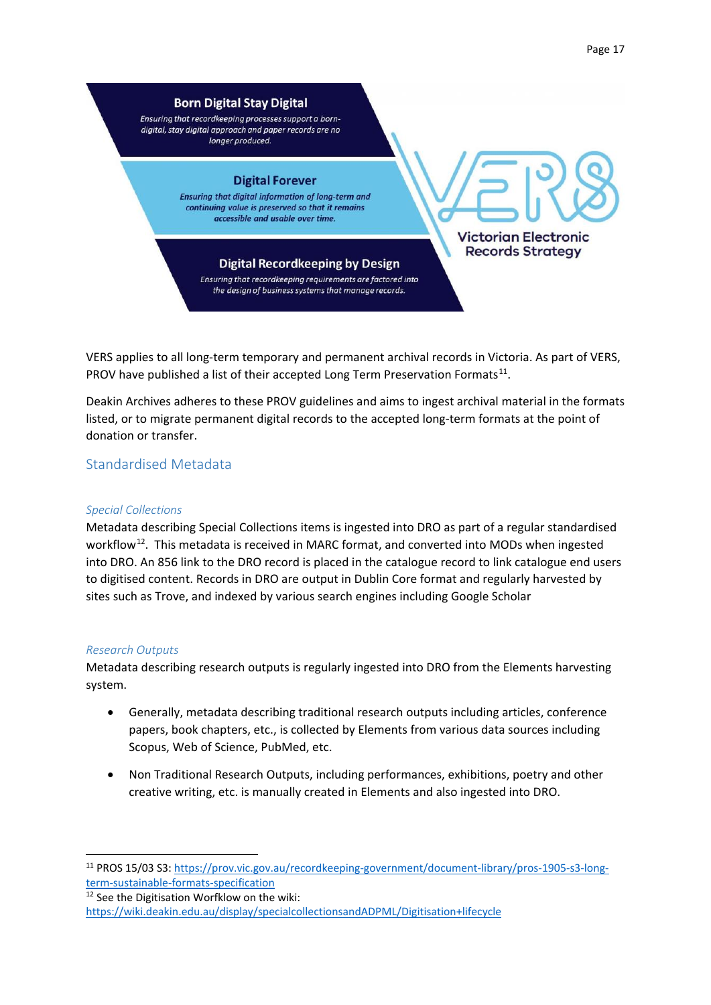Page 17



VERS applies to all long-term temporary and permanent archival records in Victoria. As part of VERS, PROV have published a list of their accepted Long Term Preservation Formats<sup>[11](#page-16-1)</sup>.

Deakin Archives adheres to these PROV guidelines and aims to ingest archival material in the formats listed, or to migrate permanent digital records to the accepted long-term formats at the point of donation or transfer.

<span id="page-16-0"></span>Standardised Metadata

### *Special Collections*

Metadata describing Special Collections items is ingested into DRO as part of a regular standardised workflow<sup>12</sup>. This metadata is received in MARC format, and converted into MODs when ingested into DRO. An 856 link to the DRO record is placed in the catalogue record to link catalogue end users to digitised content. Records in DRO are output in Dublin Core format and regularly harvested by sites such as Trove, and indexed by various search engines including Google Scholar

### *Research Outputs*

Metadata describing research outputs is regularly ingested into DRO from the Elements harvesting system.

- Generally, metadata describing traditional research outputs including articles, conference papers, book chapters, etc., is collected by Elements from various data sources including Scopus, Web of Science, PubMed, etc.
- Non Traditional Research Outputs, including performances, exhibitions, poetry and other creative writing, etc. is manually created in Elements and also ingested into DRO.

<span id="page-16-1"></span> <sup>11</sup> PROS 15/03 S3: [https://prov.vic.gov.au/recordkeeping-government/document-library/pros-1905-s3-long](https://prov.vic.gov.au/recordkeeping-government/document-library/pros-1905-s3-long-term-sustainable-formats-specification)[term-sustainable-formats-specification](https://prov.vic.gov.au/recordkeeping-government/document-library/pros-1905-s3-long-term-sustainable-formats-specification)

<span id="page-16-2"></span><sup>12</sup> See the Digitisation Worfklow on the wiki: <https://wiki.deakin.edu.au/display/specialcollectionsandADPML/Digitisation+lifecycle>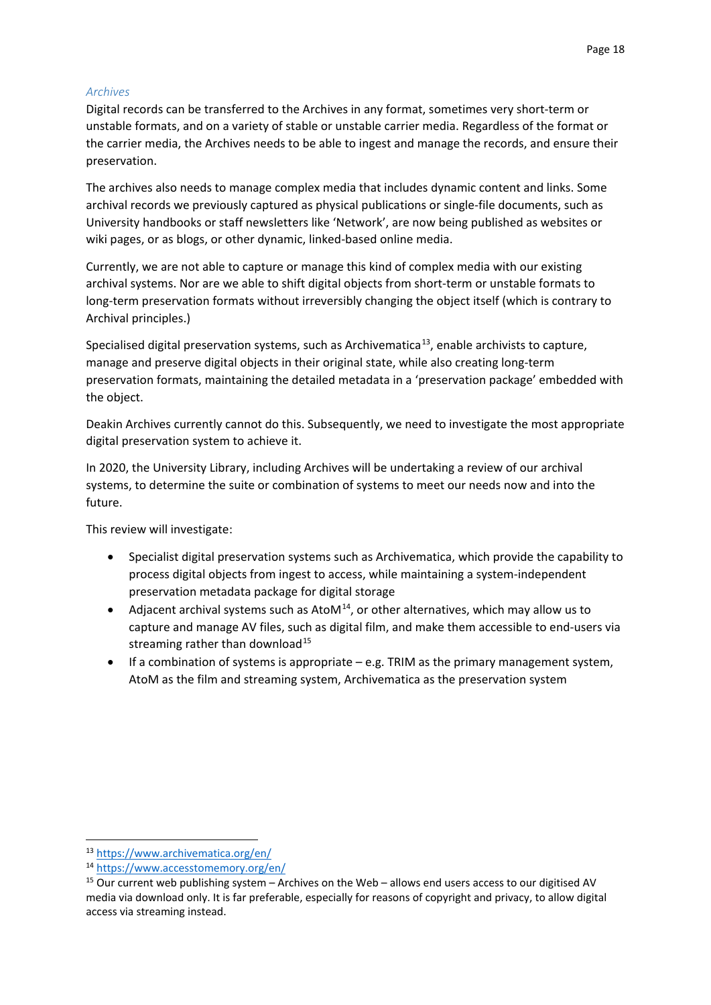### *Archives*

Digital records can be transferred to the Archives in any format, sometimes very short-term or unstable formats, and on a variety of stable or unstable carrier media. Regardless of the format or the carrier media, the Archives needs to be able to ingest and manage the records, and ensure their preservation.

The archives also needs to manage complex media that includes dynamic content and links. Some archival records we previously captured as physical publications or single-file documents, such as University handbooks or staff newsletters like 'Network', are now being published as websites or wiki pages, or as blogs, or other dynamic, linked-based online media.

Currently, we are not able to capture or manage this kind of complex media with our existing archival systems. Nor are we able to shift digital objects from short-term or unstable formats to long-term preservation formats without irreversibly changing the object itself (which is contrary to Archival principles.)

Specialised digital preservation systems, such as Archivematica<sup>[13](#page-17-0)</sup>, enable archivists to capture, manage and preserve digital objects in their original state, while also creating long-term preservation formats, maintaining the detailed metadata in a 'preservation package' embedded with the object.

Deakin Archives currently cannot do this. Subsequently, we need to investigate the most appropriate digital preservation system to achieve it.

In 2020, the University Library, including Archives will be undertaking a review of our archival systems, to determine the suite or combination of systems to meet our needs now and into the future.

This review will investigate:

- Specialist digital preservation systems such as Archivematica, which provide the capability to process digital objects from ingest to access, while maintaining a system-independent preservation metadata package for digital storage
- Adjacent archival systems such as AtoM $14$ , or other alternatives, which may allow us to capture and manage AV files, such as digital film, and make them accessible to end-users via streaming rather than download<sup>[15](#page-17-2)</sup>
- If a combination of systems is appropriate e.g. TRIM as the primary management system, AtoM as the film and streaming system, Archivematica as the preservation system

<span id="page-17-0"></span> <sup>13</sup> <https://www.archivematica.org/en/>

<span id="page-17-1"></span><sup>14</sup> <https://www.accesstomemory.org/en/>

<span id="page-17-2"></span><sup>15</sup> Our current web publishing system – Archives on the Web – allows end users access to our digitised AV media via download only. It is far preferable, especially for reasons of copyright and privacy, to allow digital access via streaming instead.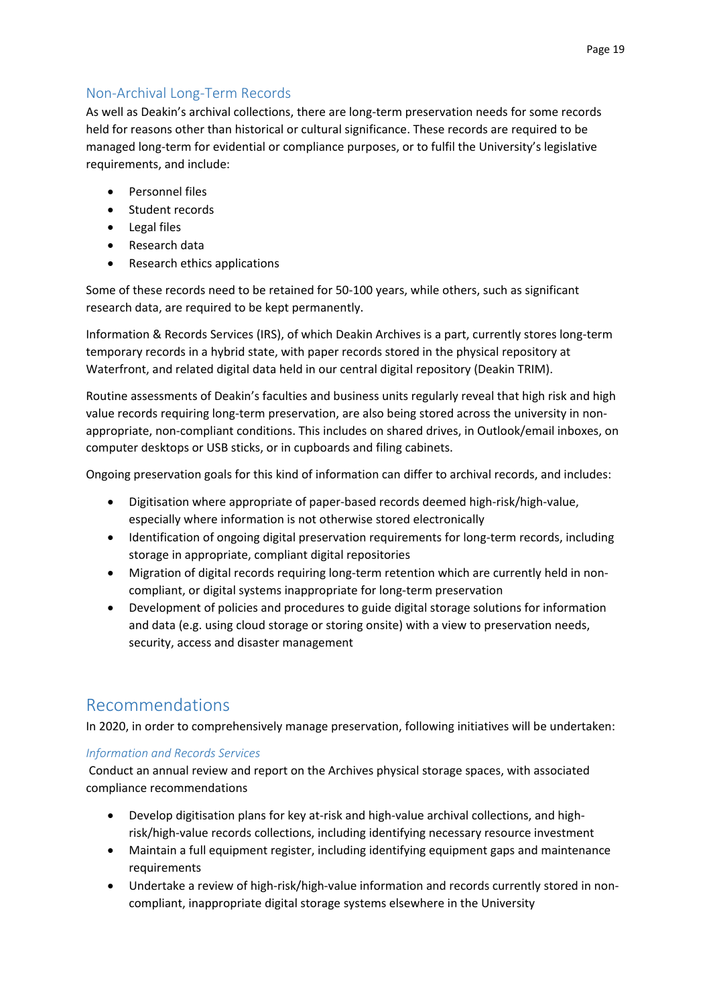# <span id="page-18-0"></span>Non-Archival Long-Term Records

As well as Deakin's archival collections, there are long-term preservation needs for some records held for reasons other than historical or cultural significance. These records are required to be managed long-term for evidential or compliance purposes, or to fulfil the University's legislative requirements, and include:

- Personnel files
- Student records
- Legal files
- Research data
- Research ethics applications

Some of these records need to be retained for 50-100 years, while others, such as significant research data, are required to be kept permanently.

Information & Records Services (IRS), of which Deakin Archives is a part, currently stores long-term temporary records in a hybrid state, with paper records stored in the physical repository at Waterfront, and related digital data held in our central digital repository (Deakin TRIM).

Routine assessments of Deakin's faculties and business units regularly reveal that high risk and high value records requiring long-term preservation, are also being stored across the university in nonappropriate, non-compliant conditions. This includes on shared drives, in Outlook/email inboxes, on computer desktops or USB sticks, or in cupboards and filing cabinets.

Ongoing preservation goals for this kind of information can differ to archival records, and includes:

- Digitisation where appropriate of paper-based records deemed high-risk/high-value, especially where information is not otherwise stored electronically
- Identification of ongoing digital preservation requirements for long-term records, including storage in appropriate, compliant digital repositories
- Migration of digital records requiring long-term retention which are currently held in noncompliant, or digital systems inappropriate for long-term preservation
- Development of policies and procedures to guide digital storage solutions for information and data (e.g. using cloud storage or storing onsite) with a view to preservation needs, security, access and disaster management

# <span id="page-18-1"></span>Recommendations

In 2020, in order to comprehensively manage preservation, following initiatives will be undertaken:

## *Information and Records Services*

Conduct an annual review and report on the Archives physical storage spaces, with associated compliance recommendations

- Develop digitisation plans for key at-risk and high-value archival collections, and highrisk/high-value records collections, including identifying necessary resource investment
- Maintain a full equipment register, including identifying equipment gaps and maintenance requirements
- Undertake a review of high-risk/high-value information and records currently stored in noncompliant, inappropriate digital storage systems elsewhere in the University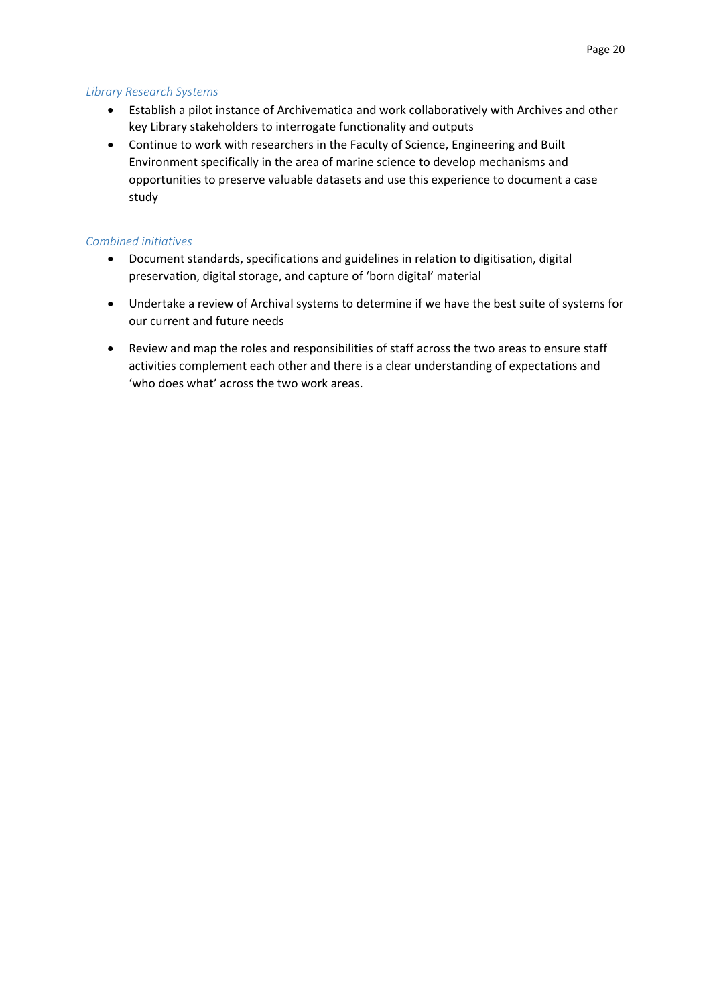### *Library Research Systems*

- Establish a pilot instance of Archivematica and work collaboratively with Archives and other key Library stakeholders to interrogate functionality and outputs
- Continue to work with researchers in the Faculty of Science, Engineering and Built Environment specifically in the area of marine science to develop mechanisms and opportunities to preserve valuable datasets and use this experience to document a case study

### *Combined initiatives*

- Document standards, specifications and guidelines in relation to digitisation, digital preservation, digital storage, and capture of 'born digital' material
- Undertake a review of Archival systems to determine if we have the best suite of systems for our current and future needs
- Review and map the roles and responsibilities of staff across the two areas to ensure staff activities complement each other and there is a clear understanding of expectations and 'who does what' across the two work areas.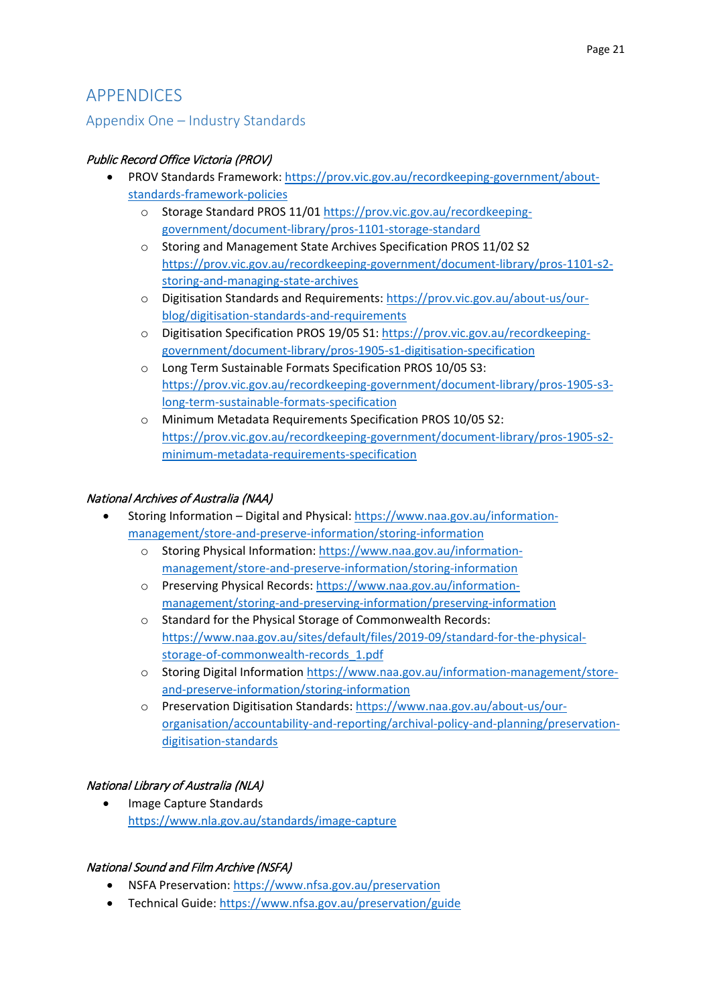# <span id="page-20-0"></span>APPENDICES

# <span id="page-20-1"></span>Appendix One – Industry Standards

## Public Record Office Victoria (PROV)

- PROV Standards Framework[: https://prov.vic.gov.au/recordkeeping-government/about](https://prov.vic.gov.au/recordkeeping-government/about-standards-framework-policies)[standards-framework-policies](https://prov.vic.gov.au/recordkeeping-government/about-standards-framework-policies)
	- o Storage Standard PROS 11/01 [https://prov.vic.gov.au/recordkeeping](https://prov.vic.gov.au/recordkeeping-government/document-library/pros-1101-storage-standard)[government/document-library/pros-1101-storage-standard](https://prov.vic.gov.au/recordkeeping-government/document-library/pros-1101-storage-standard)
	- o Storing and Management State Archives Specification PROS 11/02 S2 [https://prov.vic.gov.au/recordkeeping-government/document-library/pros-1101-s2](https://prov.vic.gov.au/recordkeeping-government/document-library/pros-1101-s2-storing-and-managing-state-archives) [storing-and-managing-state-archives](https://prov.vic.gov.au/recordkeeping-government/document-library/pros-1101-s2-storing-and-managing-state-archives)
	- o Digitisation Standards and Requirements[: https://prov.vic.gov.au/about-us/our](https://prov.vic.gov.au/about-us/our-blog/digitisation-standards-and-requirements)[blog/digitisation-standards-and-requirements](https://prov.vic.gov.au/about-us/our-blog/digitisation-standards-and-requirements)
	- o Digitisation Specification PROS 19/05 S1: [https://prov.vic.gov.au/recordkeeping](https://prov.vic.gov.au/recordkeeping-government/document-library/pros-1905-s1-digitisation-specification)[government/document-library/pros-1905-s1-digitisation-specification](https://prov.vic.gov.au/recordkeeping-government/document-library/pros-1905-s1-digitisation-specification)
	- o Long Term Sustainable Formats Specification PROS 10/05 S3: [https://prov.vic.gov.au/recordkeeping-government/document-library/pros-1905-s3](https://prov.vic.gov.au/recordkeeping-government/document-library/pros-1905-s3-long-term-sustainable-formats-specification) [long-term-sustainable-formats-specification](https://prov.vic.gov.au/recordkeeping-government/document-library/pros-1905-s3-long-term-sustainable-formats-specification)
	- o Minimum Metadata Requirements Specification PROS 10/05 S2: [https://prov.vic.gov.au/recordkeeping-government/document-library/pros-1905-s2](https://prov.vic.gov.au/recordkeeping-government/document-library/pros-1905-s2-minimum-metadata-requirements-specification) [minimum-metadata-requirements-specification](https://prov.vic.gov.au/recordkeeping-government/document-library/pros-1905-s2-minimum-metadata-requirements-specification)

### National Archives of Australia (NAA)

- Storing Information Digital and Physical: [https://www.naa.gov.au/information](https://www.naa.gov.au/information-management/store-and-preserve-information/storing-information)[management/store-and-preserve-information/storing-information](https://www.naa.gov.au/information-management/store-and-preserve-information/storing-information)
	- o Storing Physical Information: [https://www.naa.gov.au/information](https://www.naa.gov.au/information-management/store-and-preserve-information/storing-information)[management/store-and-preserve-information/storing-information](https://www.naa.gov.au/information-management/store-and-preserve-information/storing-information)
	- o Preserving Physical Records: [https://www.naa.gov.au/information](https://www.naa.gov.au/information-management/storing-and-preserving-information/preserving-information)[management/storing-and-preserving-information/preserving-information](https://www.naa.gov.au/information-management/storing-and-preserving-information/preserving-information)
	- o Standard for the Physical Storage of Commonwealth Records: [https://www.naa.gov.au/sites/default/files/2019-09/standard-for-the-physical](https://www.naa.gov.au/sites/default/files/2019-09/standard-for-the-physical-storage-of-commonwealth-records_1.pdf)[storage-of-commonwealth-records\\_1.pdf](https://www.naa.gov.au/sites/default/files/2019-09/standard-for-the-physical-storage-of-commonwealth-records_1.pdf)
	- o Storing Digital Information [https://www.naa.gov.au/information-management/store](https://www.naa.gov.au/information-management/store-and-preserve-information/storing-information)[and-preserve-information/storing-information](https://www.naa.gov.au/information-management/store-and-preserve-information/storing-information)
	- o Preservation Digitisation Standards: [https://www.naa.gov.au/about-us/our](https://www.naa.gov.au/about-us/our-organisation/accountability-and-reporting/archival-policy-and-planning/preservation-digitisation-standards)[organisation/accountability-and-reporting/archival-policy-and-planning/preservation](https://www.naa.gov.au/about-us/our-organisation/accountability-and-reporting/archival-policy-and-planning/preservation-digitisation-standards)[digitisation-standards](https://www.naa.gov.au/about-us/our-organisation/accountability-and-reporting/archival-policy-and-planning/preservation-digitisation-standards)

## National Library of Australia (NLA)

• Image Capture Standards <https://www.nla.gov.au/standards/image-capture>

## National Sound and Film Archive (NSFA)

- NSFA Preservation[: https://www.nfsa.gov.au/preservation](https://www.nfsa.gov.au/preservation)
- Technical Guide:<https://www.nfsa.gov.au/preservation/guide>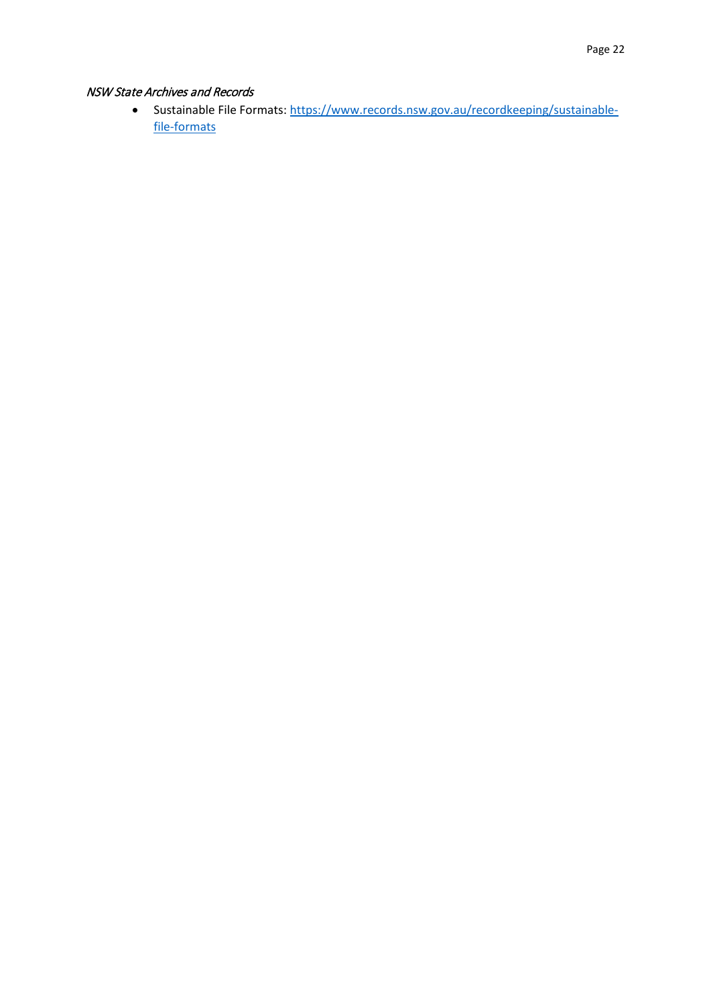## NSW State Archives and Records

• Sustainable File Formats: [https://www.records.nsw.gov.au/recordkeeping/sustainable](https://www.records.nsw.gov.au/recordkeeping/sustainable-file-formats)[file-formats](https://www.records.nsw.gov.au/recordkeeping/sustainable-file-formats)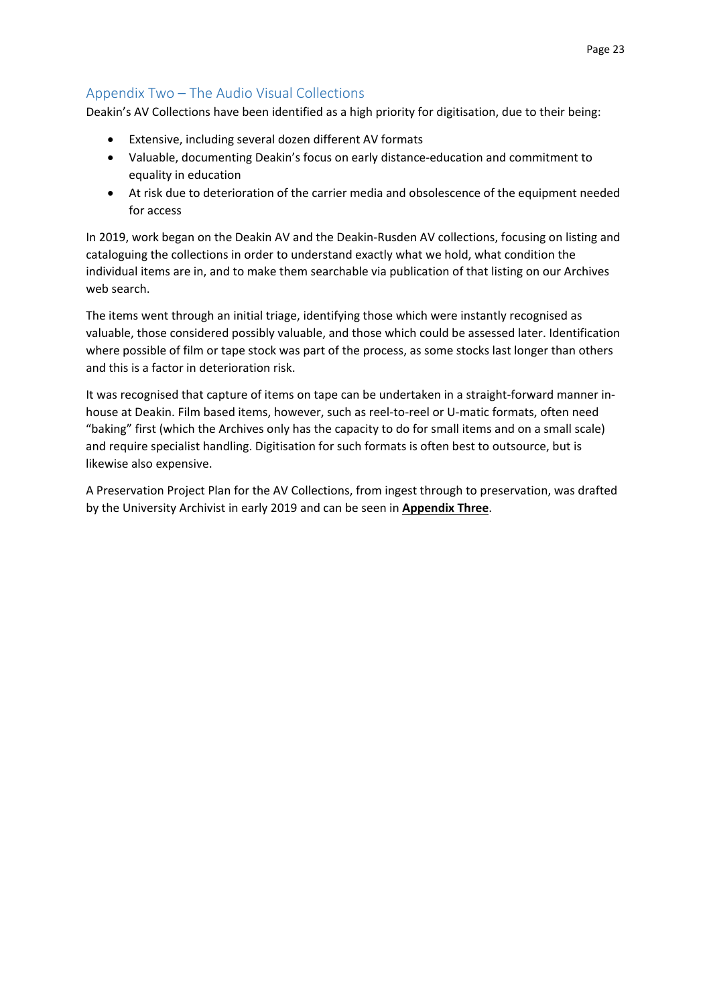# <span id="page-22-0"></span>Appendix Two – The Audio Visual Collections

Deakin's AV Collections have been identified as a high priority for digitisation, due to their being:

- Extensive, including several dozen different AV formats
- Valuable, documenting Deakin's focus on early distance-education and commitment to equality in education
- At risk due to deterioration of the carrier media and obsolescence of the equipment needed for access

In 2019, work began on the Deakin AV and the Deakin-Rusden AV collections, focusing on listing and cataloguing the collections in order to understand exactly what we hold, what condition the individual items are in, and to make them searchable via publication of that listing on our Archives web search.

The items went through an initial triage, identifying those which were instantly recognised as valuable, those considered possibly valuable, and those which could be assessed later. Identification where possible of film or tape stock was part of the process, as some stocks last longer than others and this is a factor in deterioration risk.

It was recognised that capture of items on tape can be undertaken in a straight-forward manner inhouse at Deakin. Film based items, however, such as reel-to-reel or U-matic formats, often need "baking" first (which the Archives only has the capacity to do for small items and on a small scale) and require specialist handling. Digitisation for such formats is often best to outsource, but is likewise also expensive.

A Preservation Project Plan for the AV Collections, from ingest through to preservation, was drafted by the University Archivist in early 2019 and can be seen in **Appendix Three**.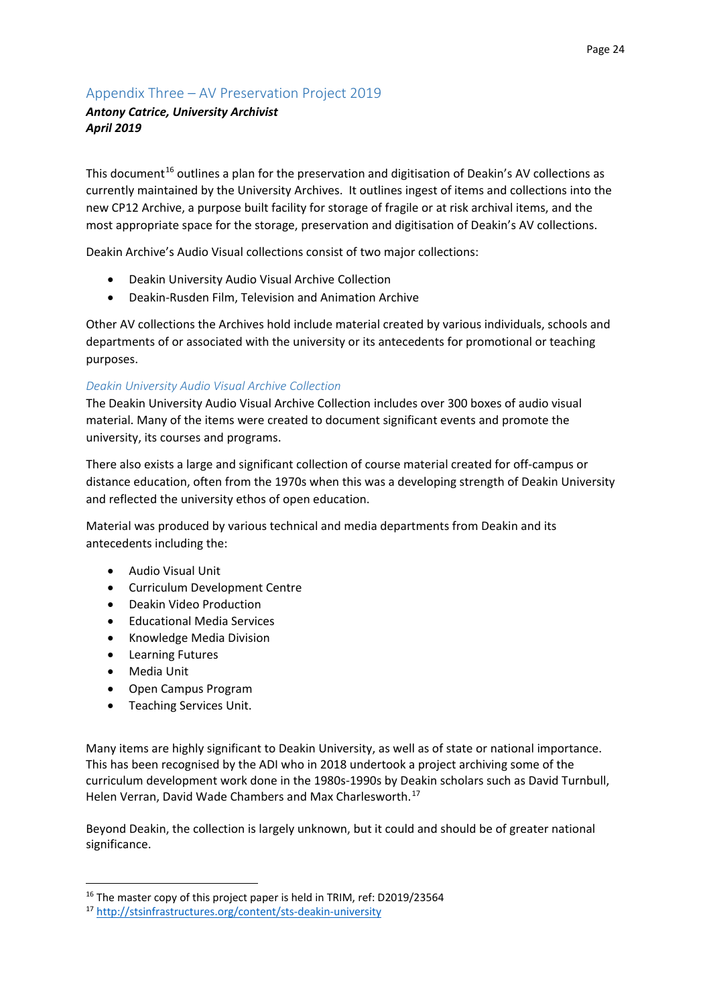# <span id="page-23-0"></span>Appendix Three – AV Preservation Project 2019

# *Antony Catrice, University Archivist April 2019*

This document<sup>[16](#page-23-1)</sup> outlines a plan for the preservation and digitisation of Deakin's AV collections as currently maintained by the University Archives. It outlines ingest of items and collections into the new CP12 Archive, a purpose built facility for storage of fragile or at risk archival items, and the most appropriate space for the storage, preservation and digitisation of Deakin's AV collections.

Deakin Archive's Audio Visual collections consist of two major collections:

- Deakin University Audio Visual Archive Collection
- Deakin-Rusden Film, Television and Animation Archive

Other AV collections the Archives hold include material created by various individuals, schools and departments of or associated with the university or its antecedents for promotional or teaching purposes.

## *Deakin University Audio Visual Archive Collection*

The Deakin University Audio Visual Archive Collection includes over 300 boxes of audio visual material. Many of the items were created to document significant events and promote the university, its courses and programs.

There also exists a large and significant collection of course material created for off-campus or distance education, often from the 1970s when this was a developing strength of Deakin University and reflected the university ethos of open education.

Material was produced by various technical and media departments from Deakin and its antecedents including the:

- Audio Visual Unit
- Curriculum Development Centre
- Deakin Video Production
- Educational Media Services
- Knowledge Media Division
- Learning Futures
- Media Unit
- Open Campus Program
- Teaching Services Unit.

Many items are highly significant to Deakin University, as well as of state or national importance. This has been recognised by the ADI who in 2018 undertook a project archiving some of the curriculum development work done in the 1980s-1990s by Deakin scholars such as David Turnbull, Helen Verran, David Wade Chambers and Max Charlesworth.[17](#page-23-2)

Beyond Deakin, the collection is largely unknown, but it could and should be of greater national significance.

<span id="page-23-1"></span><sup>&</sup>lt;sup>16</sup> The master copy of this project paper is held in TRIM, ref: D2019/23564

<span id="page-23-2"></span><sup>17</sup> <http://stsinfrastructures.org/content/sts-deakin-university>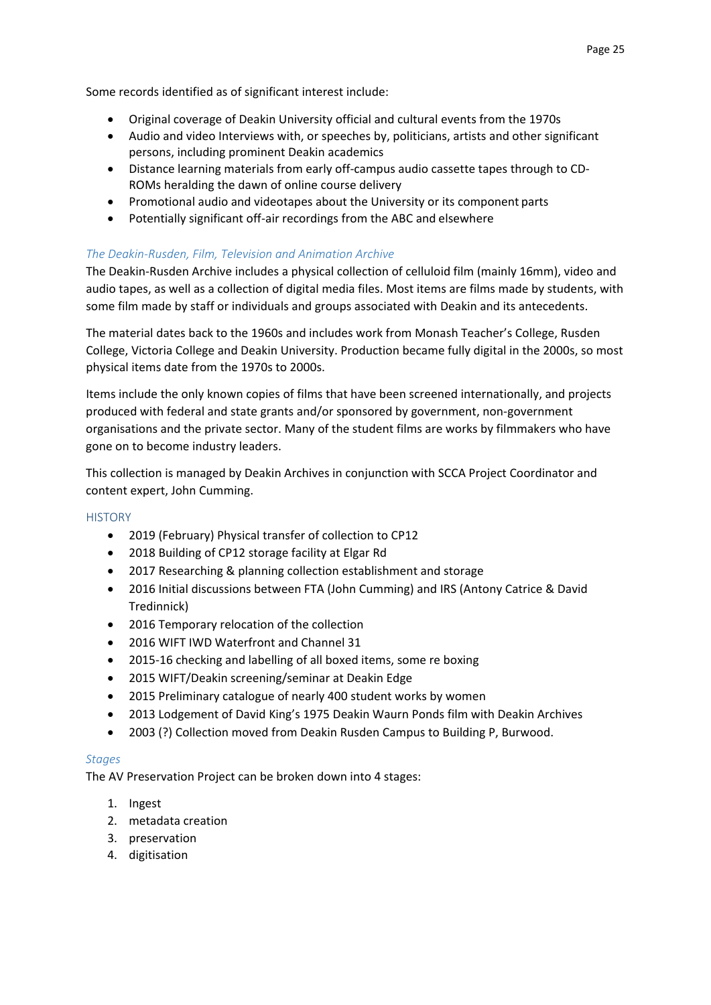Some records identified as of significant interest include:

- Original coverage of Deakin University official and cultural events from the 1970s
- Audio and video Interviews with, or speeches by, politicians, artists and other significant persons, including prominent Deakin academics
- Distance learning materials from early off-campus audio cassette tapes through to CD-ROMs heralding the dawn of online course delivery
- Promotional audio and videotapes about the University or its component parts
- Potentially significant off-air recordings from the ABC and elsewhere

## *The Deakin-Rusden, Film, Television and Animation Archive*

The Deakin-Rusden Archive includes a physical collection of celluloid film (mainly 16mm), video and audio tapes, as well as a collection of digital media files. Most items are films made by students, with some film made by staff or individuals and groups associated with Deakin and its antecedents.

The material dates back to the 1960s and includes work from Monash Teacher's College, Rusden College, Victoria College and Deakin University. Production became fully digital in the 2000s, so most physical items date from the 1970s to 2000s.

Items include the only known copies of films that have been screened internationally, and projects produced with federal and state grants and/or sponsored by government, non-government organisations and the private sector. Many of the student films are works by filmmakers who have gone on to become industry leaders.

This collection is managed by Deakin Archives in conjunction with SCCA Project Coordinator and content expert, John Cumming.

### **HISTORY**

- 2019 (February) Physical transfer of collection to CP12
- 2018 Building of CP12 storage facility at Elgar Rd
- 2017 Researching & planning collection establishment and storage
- 2016 Initial discussions between FTA (John Cumming) and IRS (Antony Catrice & David Tredinnick)
- 2016 Temporary relocation of the collection
- 2016 WIFT IWD Waterfront and Channel 31
- 2015-16 checking and labelling of all boxed items, some re boxing
- 2015 WIFT/Deakin screening/seminar at Deakin Edge
- 2015 Preliminary catalogue of nearly 400 student works by women
- 2013 Lodgement of David King's 1975 Deakin Waurn Ponds film with Deakin Archives
- 2003 (?) Collection moved from Deakin Rusden Campus to Building P, Burwood.

### *Stages*

The AV Preservation Project can be broken down into 4 stages:

- 1. Ingest
- 2. metadata creation
- 3. preservation
- 4. digitisation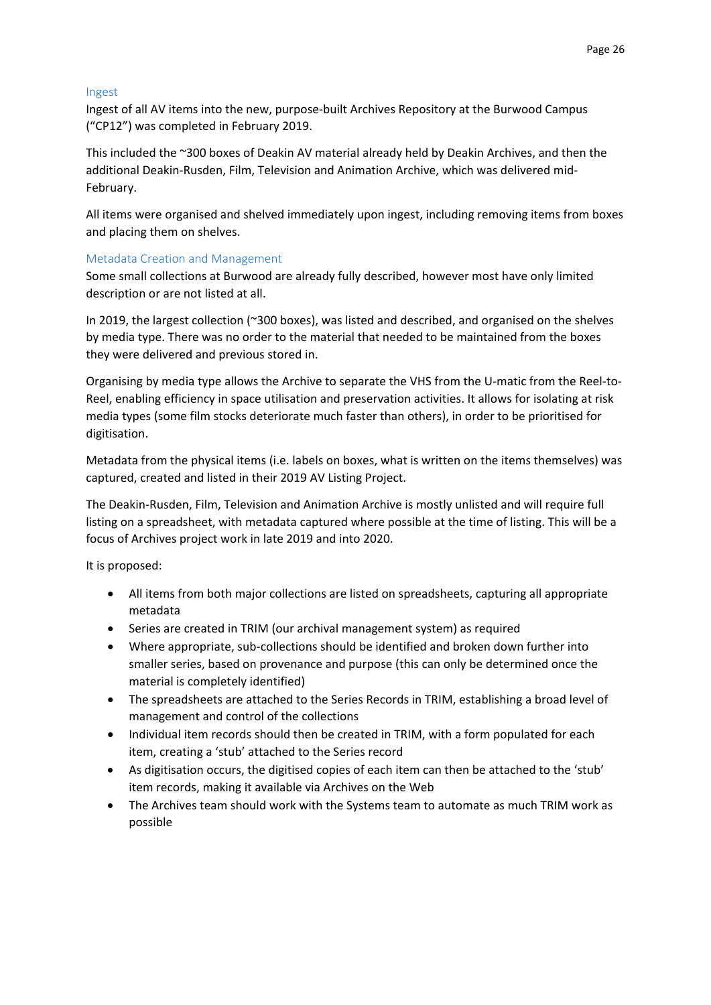#### Ingest

Ingest of all AV items into the new, purpose-built Archives Repository at the Burwood Campus ("CP12") was completed in February 2019.

This included the ~300 boxes of Deakin AV material already held by Deakin Archives, and then the additional Deakin-Rusden, Film, Television and Animation Archive, which was delivered mid-February.

All items were organised and shelved immediately upon ingest, including removing items from boxes and placing them on shelves.

### Metadata Creation and Management

Some small collections at Burwood are already fully described, however most have only limited description or are not listed at all.

In 2019, the largest collection (~300 boxes), was listed and described, and organised on the shelves by media type. There was no order to the material that needed to be maintained from the boxes they were delivered and previous stored in.

Organising by media type allows the Archive to separate the VHS from the U-matic from the Reel-to-Reel, enabling efficiency in space utilisation and preservation activities. It allows for isolating at risk media types (some film stocks deteriorate much faster than others), in order to be prioritised for digitisation.

Metadata from the physical items (i.e. labels on boxes, what is written on the items themselves) was captured, created and listed in their 2019 AV Listing Project.

The Deakin-Rusden, Film, Television and Animation Archive is mostly unlisted and will require full listing on a spreadsheet, with metadata captured where possible at the time of listing. This will be a focus of Archives project work in late 2019 and into 2020.

It is proposed:

- All items from both major collections are listed on spreadsheets, capturing all appropriate metadata
- Series are created in TRIM (our archival management system) as required
- Where appropriate, sub-collections should be identified and broken down further into smaller series, based on provenance and purpose (this can only be determined once the material is completely identified)
- The spreadsheets are attached to the Series Records in TRIM, establishing a broad level of management and control of the collections
- Individual item records should then be created in TRIM, with a form populated for each item, creating a 'stub' attached to the Series record
- As digitisation occurs, the digitised copies of each item can then be attached to the 'stub' item records, making it available via Archives on the Web
- The Archives team should work with the Systems team to automate as much TRIM work as possible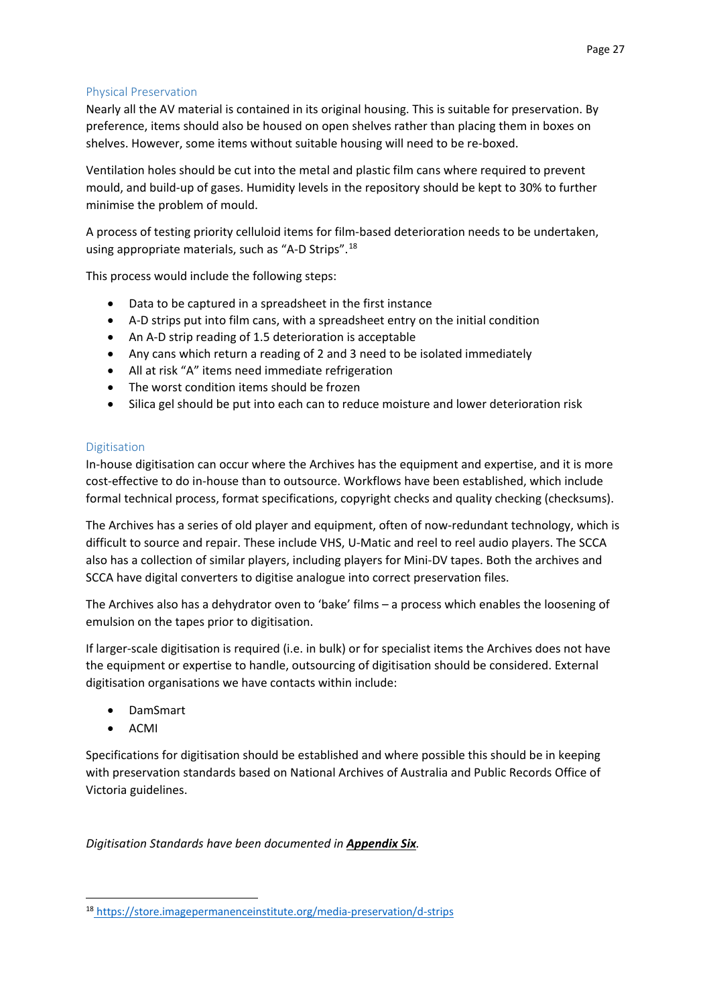### Physical Preservation

Nearly all the AV material is contained in its original housing. This is suitable for preservation. By preference, items should also be housed on open shelves rather than placing them in boxes on shelves. However, some items without suitable housing will need to be re-boxed.

Ventilation holes should be cut into the metal and plastic film cans where required to prevent mould, and build-up of gases. Humidity levels in the repository should be kept to 30% to further minimise the problem of mould.

A process of testing priority celluloid items for film-based deterioration needs to be undertaken, using appropriate materials, such as "A-D Strips".[18](#page-26-0)

This process would include the following steps:

- Data to be captured in a spreadsheet in the first instance
- A-D strips put into film cans, with a spreadsheet entry on the initial condition
- An A-D strip reading of 1.5 deterioration is acceptable
- Any cans which return a reading of 2 and 3 need to be isolated immediately
- All at risk "A" items need immediate refrigeration
- The worst condition items should be frozen
- Silica gel should be put into each can to reduce moisture and lower deterioration risk

### Digitisation

In-house digitisation can occur where the Archives has the equipment and expertise, and it is more cost-effective to do in-house than to outsource. Workflows have been established, which include formal technical process, format specifications, copyright checks and quality checking (checksums).

The Archives has a series of old player and equipment, often of now-redundant technology, which is difficult to source and repair. These include VHS, U-Matic and reel to reel audio players. The SCCA also has a collection of similar players, including players for Mini-DV tapes. Both the archives and SCCA have digital converters to digitise analogue into correct preservation files.

The Archives also has a dehydrator oven to 'bake' films – a process which enables the loosening of emulsion on the tapes prior to digitisation.

If larger-scale digitisation is required (i.e. in bulk) or for specialist items the Archives does not have the equipment or expertise to handle, outsourcing of digitisation should be considered. External digitisation organisations we have contacts within include:

- DamSmart
- ACMI

Specifications for digitisation should be established and where possible this should be in keeping with preservation standards based on National Archives of Australia and Public Records Office of Victoria guidelines.

*Digitisation Standards have been documented in Appendix Six.*

<span id="page-26-0"></span> <sup>18</sup> <https://store.imagepermanenceinstitute.org/media-preservation/d-strips>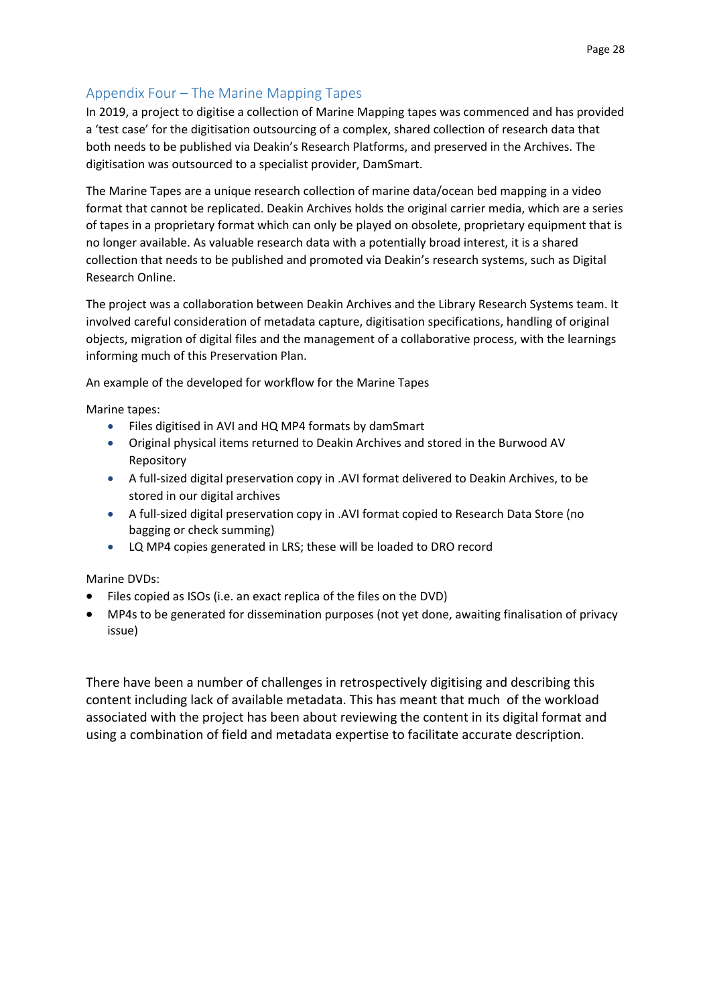# <span id="page-27-0"></span>Appendix Four – The Marine Mapping Tapes

In 2019, a project to digitise a collection of Marine Mapping tapes was commenced and has provided a 'test case' for the digitisation outsourcing of a complex, shared collection of research data that both needs to be published via Deakin's Research Platforms, and preserved in the Archives. The digitisation was outsourced to a specialist provider, DamSmart.

The Marine Tapes are a unique research collection of marine data/ocean bed mapping in a video format that cannot be replicated. Deakin Archives holds the original carrier media, which are a series of tapes in a proprietary format which can only be played on obsolete, proprietary equipment that is no longer available. As valuable research data with a potentially broad interest, it is a shared collection that needs to be published and promoted via Deakin's research systems, such as Digital Research Online.

The project was a collaboration between Deakin Archives and the Library Research Systems team. It involved careful consideration of metadata capture, digitisation specifications, handling of original objects, migration of digital files and the management of a collaborative process, with the learnings informing much of this Preservation Plan.

An example of the developed for workflow for the Marine Tapes

Marine tapes:

- Files digitised in AVI and HQ MP4 formats by damSmart
- Original physical items returned to Deakin Archives and stored in the Burwood AV Repository
- A full-sized digital preservation copy in .AVI format delivered to Deakin Archives, to be stored in our digital archives
- A full-sized digital preservation copy in .AVI format copied to Research Data Store (no bagging or check summing)
- LQ MP4 copies generated in LRS; these will be loaded to DRO record

Marine DVDs:

- Files copied as ISOs (i.e. an exact replica of the files on the DVD)
- MP4s to be generated for dissemination purposes (not yet done, awaiting finalisation of privacy issue)

There have been a number of challenges in retrospectively digitising and describing this content including lack of available metadata. This has meant that much of the workload associated with the project has been about reviewing the content in its digital format and using a combination of field and metadata expertise to facilitate accurate description.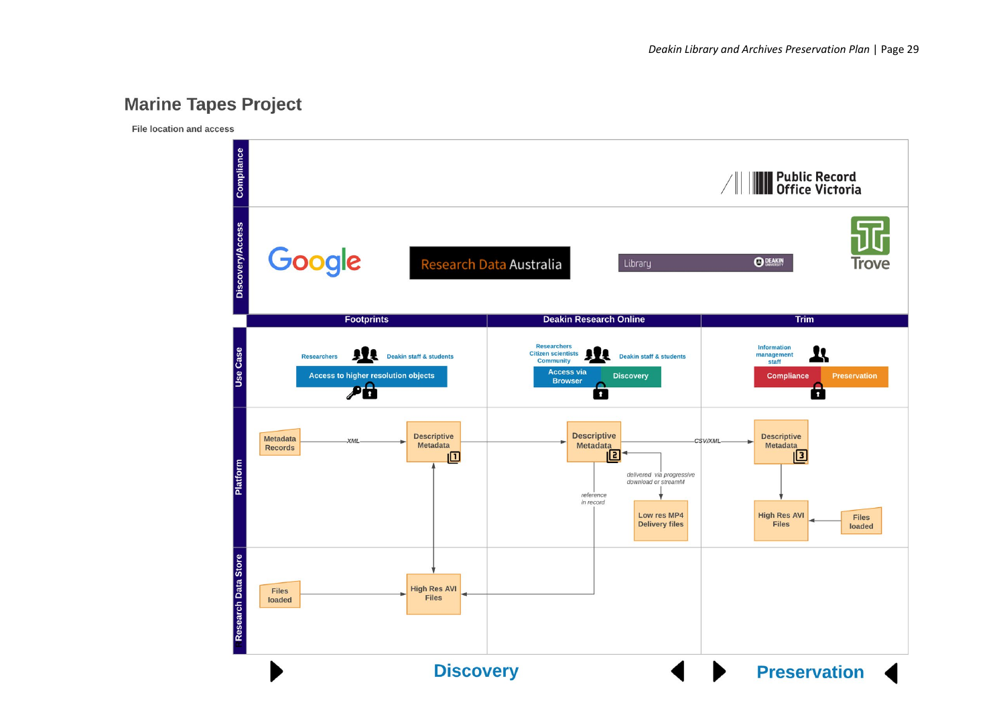# **Marine Tapes Project**

File location and access

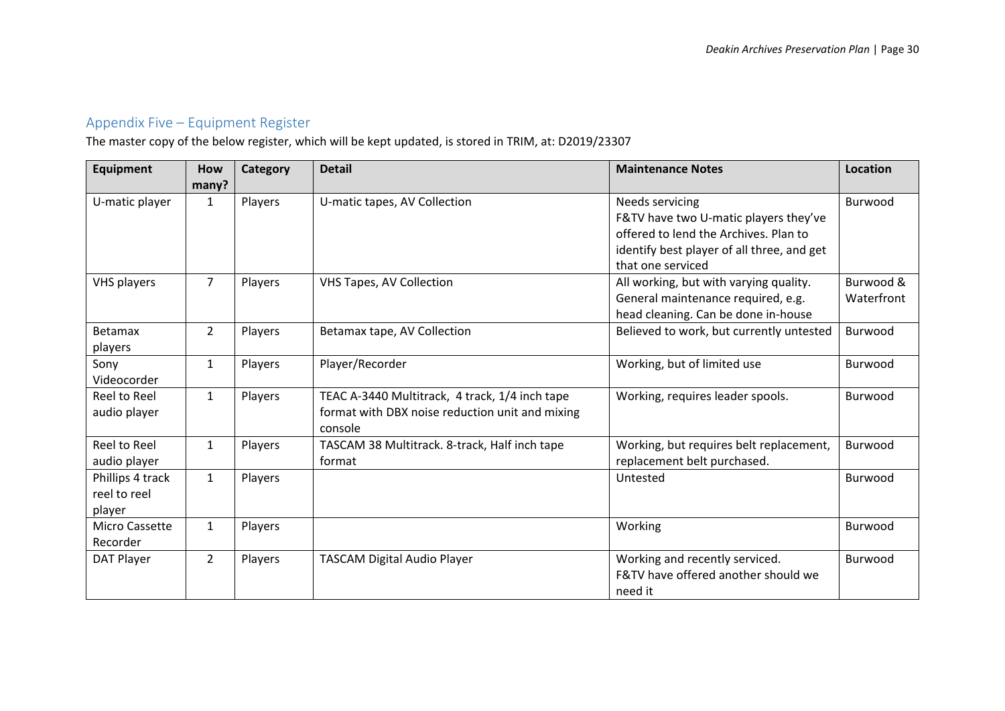# Appendix Five – Equipment Register

The master copy of the below register, which will be kept updated, is stored in TRIM, at: D2019/23307

<span id="page-29-0"></span>

| Equipment                                  | How<br>many?   | <b>Category</b> | <b>Detail</b>                                                                                                | <b>Maintenance Notes</b>                                                                                                                                             | <b>Location</b> |
|--------------------------------------------|----------------|-----------------|--------------------------------------------------------------------------------------------------------------|----------------------------------------------------------------------------------------------------------------------------------------------------------------------|-----------------|
| U-matic player                             | 1              | Players         | U-matic tapes, AV Collection                                                                                 | Needs servicing<br>F&TV have two U-matic players they've<br>offered to lend the Archives. Plan to<br>identify best player of all three, and get<br>that one serviced | Burwood         |
| VHS players                                | $\overline{7}$ | Players         | <b>VHS Tapes, AV Collection</b>                                                                              | Burwood &<br>All working, but with varying quality.<br>General maintenance required, e.g.<br>Waterfront<br>head cleaning. Can be done in-house                       |                 |
| Betamax<br>players                         | $\overline{2}$ | Players         | Betamax tape, AV Collection                                                                                  | Believed to work, but currently untested                                                                                                                             | Burwood         |
| Sony<br>Videocorder                        | $\mathbf{1}$   | Players         | Player/Recorder                                                                                              | Working, but of limited use                                                                                                                                          | Burwood         |
| Reel to Reel<br>audio player               | $\mathbf{1}$   | Players         | TEAC A-3440 Multitrack, 4 track, 1/4 inch tape<br>format with DBX noise reduction unit and mixing<br>console | Working, requires leader spools.                                                                                                                                     | Burwood         |
| Reel to Reel<br>audio player               | $\mathbf{1}$   | Players         | TASCAM 38 Multitrack. 8-track, Half inch tape<br>format                                                      | Working, but requires belt replacement,<br>replacement belt purchased.                                                                                               | Burwood         |
| Phillips 4 track<br>reel to reel<br>player | $\mathbf{1}$   | Players         |                                                                                                              | Untested                                                                                                                                                             | Burwood         |
| Micro Cassette<br>Recorder                 | $\mathbf{1}$   | Players         |                                                                                                              | Working                                                                                                                                                              | Burwood         |
| DAT Player                                 | $\overline{2}$ | Players         | <b>TASCAM Digital Audio Player</b>                                                                           | Working and recently serviced.<br>F&TV have offered another should we<br>need it                                                                                     | Burwood         |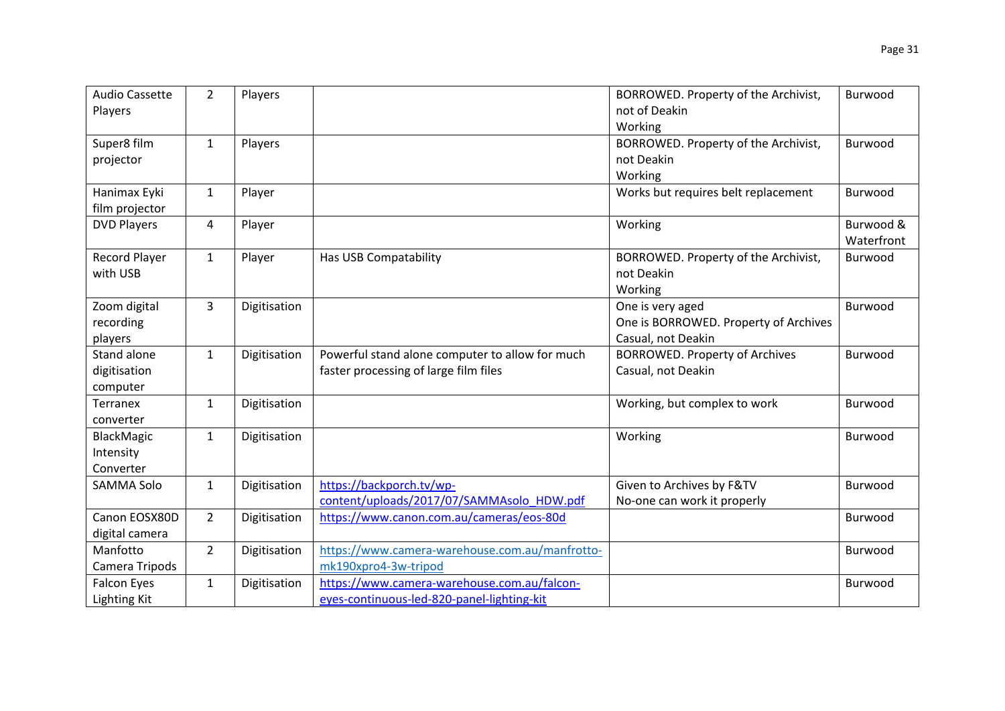| <b>Audio Cassette</b><br>Players | $\overline{2}$ | Players      |                                                 | BORROWED. Property of the Archivist,<br>not of Deakin | Burwood    |
|----------------------------------|----------------|--------------|-------------------------------------------------|-------------------------------------------------------|------------|
|                                  |                |              |                                                 | Working                                               |            |
| Super8 film                      | $\mathbf{1}$   | Players      |                                                 | BORROWED. Property of the Archivist,                  | Burwood    |
| projector                        |                |              |                                                 | not Deakin                                            |            |
|                                  |                |              |                                                 | Working                                               |            |
| Hanimax Eyki                     | $\mathbf{1}$   | Player       |                                                 | Works but requires belt replacement                   | Burwood    |
| film projector                   |                |              |                                                 |                                                       |            |
| <b>DVD Players</b>               | 4              | Player       |                                                 | Working                                               | Burwood &  |
|                                  |                |              |                                                 |                                                       | Waterfront |
| Record Player                    | $\mathbf{1}$   | Player       | Has USB Compatability                           | BORROWED. Property of the Archivist,                  | Burwood    |
| with USB                         |                |              |                                                 | not Deakin                                            |            |
|                                  |                |              |                                                 | Working                                               |            |
| Zoom digital                     | $\overline{3}$ | Digitisation |                                                 | One is very aged                                      | Burwood    |
| recording                        |                |              |                                                 | One is BORROWED. Property of Archives                 |            |
| players                          |                |              |                                                 | Casual, not Deakin                                    |            |
| Stand alone                      | $\mathbf{1}$   | Digitisation | Powerful stand alone computer to allow for much | <b>BORROWED. Property of Archives</b>                 | Burwood    |
| digitisation                     |                |              | faster processing of large film files           | Casual, not Deakin                                    |            |
| computer                         |                |              |                                                 |                                                       |            |
| <b>Terranex</b>                  | $\mathbf{1}$   | Digitisation |                                                 | Working, but complex to work                          | Burwood    |
| converter                        |                |              |                                                 |                                                       |            |
| BlackMagic                       | $\mathbf{1}$   | Digitisation |                                                 | Working                                               | Burwood    |
| Intensity                        |                |              |                                                 |                                                       |            |
| Converter                        |                |              |                                                 |                                                       |            |
| <b>SAMMA Solo</b>                | $\mathbf{1}$   | Digitisation | https://backporch.tv/wp-                        | Given to Archives by F&TV                             | Burwood    |
|                                  |                |              | content/uploads/2017/07/SAMMAsolo HDW.pdf       | No-one can work it properly                           |            |
| Canon EOSX80D                    | $\overline{2}$ | Digitisation | https://www.canon.com.au/cameras/eos-80d        |                                                       | Burwood    |
| digital camera                   |                |              |                                                 |                                                       |            |
| Manfotto                         | $\overline{2}$ | Digitisation | https://www.camera-warehouse.com.au/manfrotto-  |                                                       | Burwood    |
| Camera Tripods                   |                |              | mk190xpro4-3w-tripod                            |                                                       |            |
| <b>Falcon Eyes</b>               | $\mathbf{1}$   | Digitisation | https://www.camera-warehouse.com.au/falcon-     |                                                       | Burwood    |
| <b>Lighting Kit</b>              |                |              | eyes-continuous-led-820-panel-lighting-kit      |                                                       |            |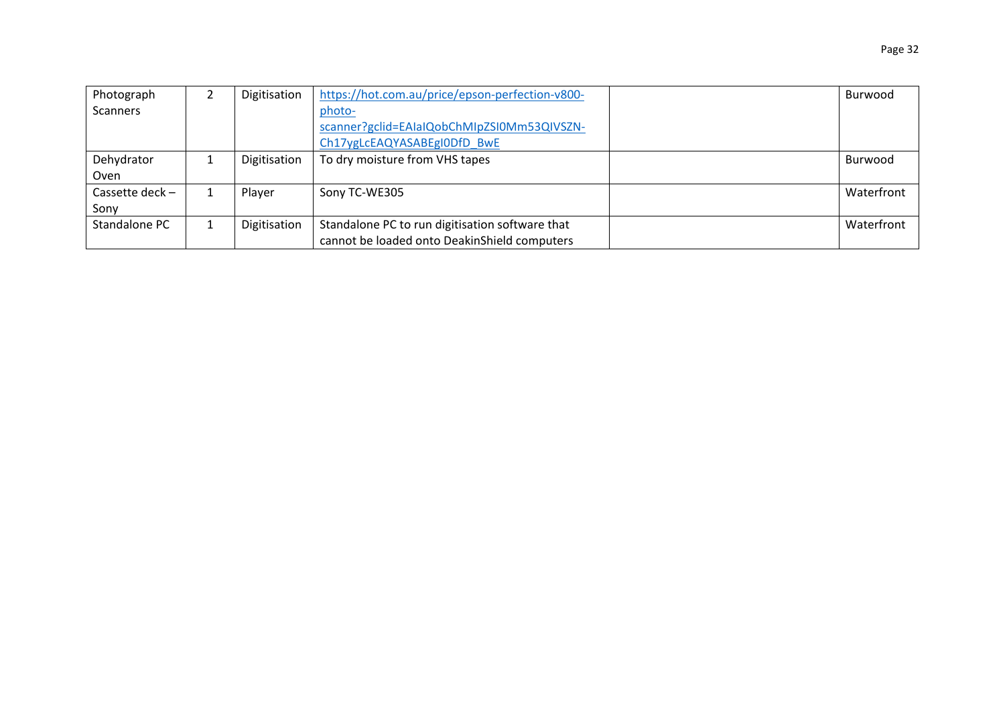| Photograph        | Digitisation | https://hot.com.au/price/epson-perfection-v800- | Burwood    |
|-------------------|--------------|-------------------------------------------------|------------|
| <b>Scanners</b>   |              | photo-                                          |            |
|                   |              | scanner?gclid=EAIaIQobChMIpZSI0Mm53QIVSZN-      |            |
|                   |              | Ch17ygLcEAQYASABEgI0DfD BwE                     |            |
| Dehydrator        | Digitisation | To dry moisture from VHS tapes                  | Burwood    |
| Oven              |              |                                                 |            |
| Cassette deck $-$ | Player       | Sony TC-WE305                                   | Waterfront |
| Sony              |              |                                                 |            |
| Standalone PC     | Digitisation | Standalone PC to run digitisation software that | Waterfront |
|                   |              | cannot be loaded onto DeakinShield computers    |            |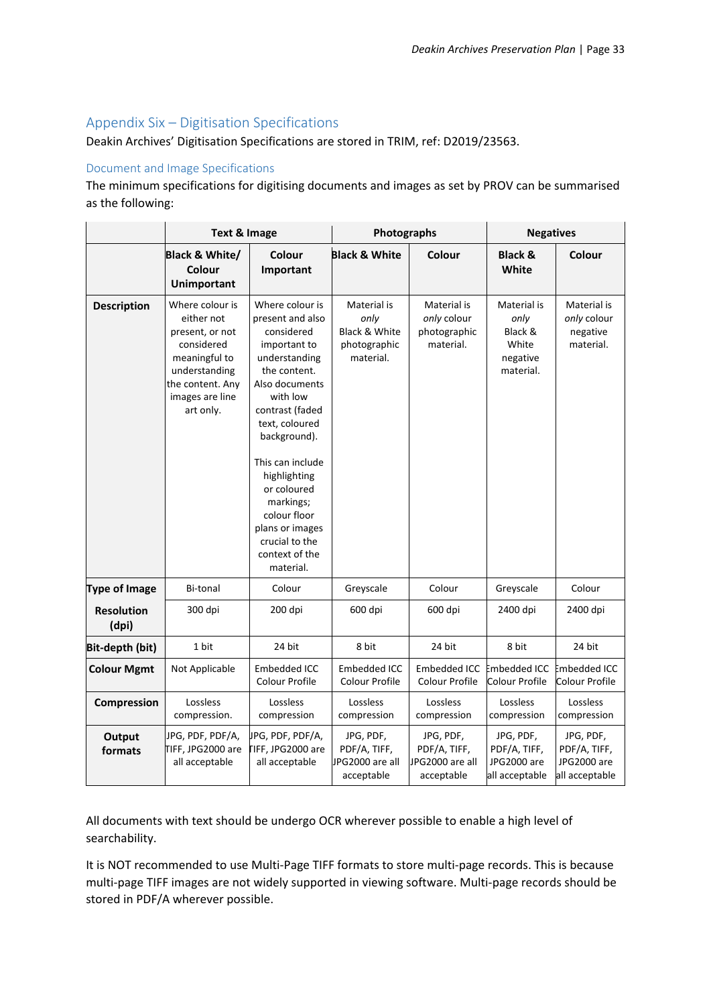## <span id="page-32-0"></span>Appendix Six – Digitisation Specifications

Deakin Archives' Digitisation Specifications are stored in TRIM, ref: D2019/23563.

#### Document and Image Specifications

The minimum specifications for digitising documents and images as set by PROV can be summarised as the following:

|                            | <b>Text &amp; Image</b>                                                                                                                              |                                                                                                                                                                                                                                                                                                                                           | Photographs                                                       |                                                            | <b>Negatives</b>                                                 |                                                            |
|----------------------------|------------------------------------------------------------------------------------------------------------------------------------------------------|-------------------------------------------------------------------------------------------------------------------------------------------------------------------------------------------------------------------------------------------------------------------------------------------------------------------------------------------|-------------------------------------------------------------------|------------------------------------------------------------|------------------------------------------------------------------|------------------------------------------------------------|
|                            | Black & White/<br><b>Colour</b><br><b>Unimportant</b>                                                                                                | Colour<br>Important                                                                                                                                                                                                                                                                                                                       | <b>Black &amp; White</b>                                          | Colour                                                     | <b>Black &amp;</b><br>White                                      | Colour                                                     |
| <b>Description</b>         | Where colour is<br>either not<br>present, or not<br>considered<br>meaningful to<br>understanding<br>the content. Any<br>images are line<br>art only. | Where colour is<br>present and also<br>considered<br>important to<br>understanding<br>the content.<br>Also documents<br>with low<br>contrast (faded<br>text, coloured<br>background).<br>This can include<br>highlighting<br>or coloured<br>markings;<br>colour floor<br>plans or images<br>crucial to the<br>context of the<br>material. | Material is<br>only<br>Black & White<br>photographic<br>material. | Material is<br>only colour<br>photographic<br>material.    | Material is<br>only<br>Black &<br>White<br>negative<br>material. | Material is<br>only colour<br>negative<br>material.        |
| <b>Type of Image</b>       | <b>Bi-tonal</b>                                                                                                                                      | Colour                                                                                                                                                                                                                                                                                                                                    | Greyscale                                                         | Colour                                                     | Greyscale                                                        | Colour                                                     |
| <b>Resolution</b><br>(dpi) | 300 dpi                                                                                                                                              | 200 dpi                                                                                                                                                                                                                                                                                                                                   | 600 dpi                                                           | 600 dpi                                                    | 2400 dpi                                                         | 2400 dpi                                                   |
| Bit-depth (bit)            | 1 bit                                                                                                                                                | 24 bit                                                                                                                                                                                                                                                                                                                                    | 8 bit                                                             | 24 bit                                                     | 8 bit                                                            | 24 bit                                                     |
| <b>Colour Mgmt</b>         | Not Applicable                                                                                                                                       | <b>Embedded ICC</b><br>Colour Profile                                                                                                                                                                                                                                                                                                     | Embedded ICC<br>Colour Profile                                    | Embedded ICC<br>Colour Profile                             | <b>Embedded ICC</b><br>Colour Profile                            | Embedded ICC<br>Colour Profile                             |
| Compression                | Lossless<br>compression.                                                                                                                             | Lossless<br>compression                                                                                                                                                                                                                                                                                                                   | Lossless<br>compression                                           | Lossless<br>compression                                    | Lossless<br>compression                                          | Lossless<br>compression                                    |
| Output<br>formats          | JPG, PDF, PDF/A,<br>TIFF, JPG2000 are<br>all acceptable                                                                                              | JPG, PDF, PDF/A,<br><b>TIFF, JPG2000 are</b><br>all acceptable                                                                                                                                                                                                                                                                            | JPG, PDF,<br>PDF/A, TIFF,<br>JPG2000 are all<br>acceptable        | JPG, PDF,<br>PDF/A, TIFF,<br>JPG2000 are all<br>acceptable | JPG, PDF,<br>PDF/A, TIFF,<br>JPG2000 are<br>all acceptable       | JPG, PDF,<br>PDF/A, TIFF,<br>JPG2000 are<br>all acceptable |

All documents with text should be undergo OCR wherever possible to enable a high level of searchability.

It is NOT recommended to use Multi-Page TIFF formats to store multi-page records. This is because multi-page TIFF images are not widely supported in viewing software. Multi-page records should be stored in PDF/A wherever possible.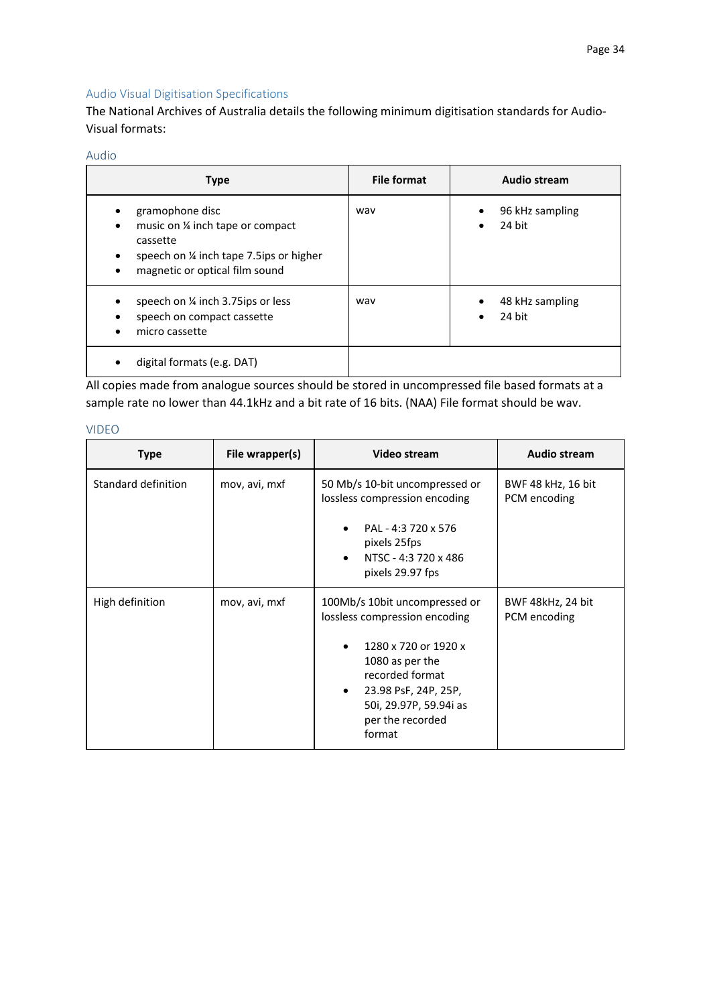## Audio Visual Digitisation Specifications

The National Archives of Australia details the following minimum digitisation standards for Audio-Visual formats:

### Audio

| <b>Type</b>                                                                                                                                | File format | Audio stream                           |
|--------------------------------------------------------------------------------------------------------------------------------------------|-------------|----------------------------------------|
| gramophone disc<br>music on % inch tape or compact<br>cassette<br>speech on % inch tape 7.5ips or higher<br>magnetic or optical film sound | way         | 96 kHz sampling<br>$\bullet$<br>24 bit |
| speech on 1/4 inch 3.75ips or less<br>speech on compact cassette<br>micro cassette                                                         | way         | 48 kHz sampling<br>٠<br>24 bit         |
| digital formats (e.g. DAT)                                                                                                                 |             |                                        |

All copies made from analogue sources should be stored in uncompressed file based formats at a sample rate no lower than 44.1kHz and a bit rate of 16 bits. (NAA) File format should be wav.

| I | ۰. |
|---|----|

| <b>Type</b>         | File wrapper(s) | <b>Video stream</b>                                                                                                                                                                                                       | <b>Audio stream</b>                |
|---------------------|-----------------|---------------------------------------------------------------------------------------------------------------------------------------------------------------------------------------------------------------------------|------------------------------------|
| Standard definition | mov, avi, mxf   | 50 Mb/s 10-bit uncompressed or<br>lossless compression encoding<br>PAL - 4:3 720 x 576<br>pixels 25fps<br>NTSC - 4:3 720 x 486<br>pixels 29.97 fps                                                                        | BWF 48 kHz, 16 bit<br>PCM encoding |
| High definition     | mov, avi, mxf   | 100Mb/s 10bit uncompressed or<br>lossless compression encoding<br>1280 x 720 or 1920 x<br>1080 as per the<br>recorded format<br>23.98 PsF, 24P, 25P,<br>$\bullet$<br>50i, 29.97P, 59.94i as<br>per the recorded<br>format | BWF 48kHz, 24 bit<br>PCM encoding  |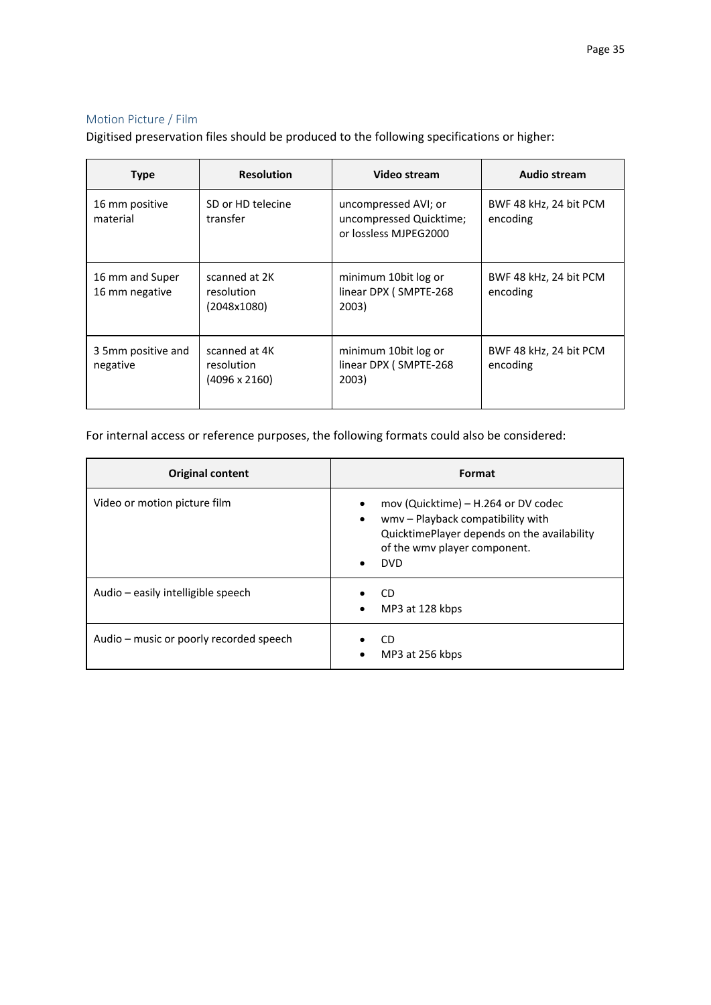### Motion Picture / Film

Digitised preservation files should be produced to the following specifications or higher:

| <b>Type</b>                       | <b>Resolution</b>                                   | Video stream                                                             | Audio stream                       |
|-----------------------------------|-----------------------------------------------------|--------------------------------------------------------------------------|------------------------------------|
| 16 mm positive<br>material        | SD or HD telecine<br>transfer                       | uncompressed AVI; or<br>uncompressed Quicktime;<br>or lossless MJPEG2000 | BWF 48 kHz, 24 bit PCM<br>encoding |
| 16 mm and Super<br>16 mm negative | scanned at 2K<br>resolution<br>(2048x1080)          | minimum 10bit log or<br>linear DPX (SMPTE-268<br>2003)                   | BWF 48 kHz, 24 bit PCM<br>encoding |
| 3 5mm positive and<br>negative    | scanned at 4K<br>resolution<br>$(4096 \times 2160)$ | minimum 10bit log or<br>linear DPX (SMPTE-268<br>2003)                   | BWF 48 kHz, 24 bit PCM<br>encoding |

For internal access or reference purposes, the following formats could also be considered:

| <b>Original content</b>                 | Format                                                                                                                                                                                                       |
|-----------------------------------------|--------------------------------------------------------------------------------------------------------------------------------------------------------------------------------------------------------------|
| Video or motion picture film            | mov (Quicktime) – H.264 or DV codec<br>$\bullet$<br>wmv - Playback compatibility with<br>$\bullet$<br>QuicktimePlayer depends on the availability<br>of the wmv player component.<br><b>DVD</b><br>$\bullet$ |
| Audio – easily intelligible speech      | CD<br>MP3 at 128 kbps<br>$\bullet$                                                                                                                                                                           |
| Audio – music or poorly recorded speech | CD<br>MP3 at 256 kbps                                                                                                                                                                                        |